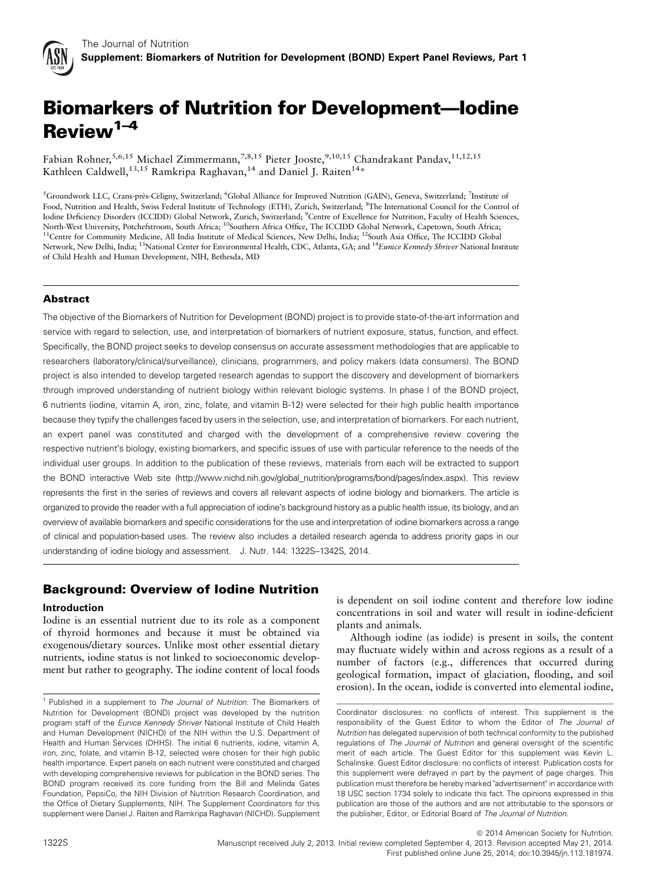

# Biomarkers of Nutrition for Development—Iodine Review<sup>1-4</sup>

Fabian Rohner,<sup>5,6,15</sup> Michael Zimmermann,<sup>7,8,15</sup> Pieter Jooste,<sup>9,10,15</sup> Chandrakant Pandav,<sup>11,12,15</sup> Kathleen Caldwell,<sup>13,15</sup> Ramkripa Raghavan,<sup>14</sup> and Daniel J. Raiten<sup>14\*</sup>

<sup>5</sup>Groundwork LLC, Crans-près-Céligny, Switzerland; <sup>6</sup>Global Alliance for Improved Nutrition (GAIN), Geneva, Switzerland; <sup>7</sup>Institute of Food, Nutrition and Health, Swiss Federal Institute of Technology (ETH), Zurich, Switzerland; <sup>8</sup>The International Council for the Control of Iodine Deficiency Disorders (ICCIDD) Global Network, Zurich, Switzerland; <sup>9</sup>Centre of Excellence for Nutrition, Faculty of Health Sciences, North-West University, Potchefstroom, South Africa; <sup>10</sup>Southern Africa Office, The ICCIDD Global Network, Capetown, South Africa; <sup>11</sup>Centre for Community Medicine, All India Institute of Medical Sciences, New Delhi, India; <sup>12</sup>South Asia Office, The ICCIDD Global Network, New Delhi, India; <sup>13</sup>National Center for Environmental Health, CDC, Atlanta, GA; and <sup>14</sup>Eunice Kennedy Shriver National Institute of Child Health and Human Development, NIH, Bethesda, MD

# **Abstract**

The objective of the Biomarkers of Nutrition for Development (BOND) project is to provide state-of-the-art information and service with regard to selection, use, and interpretation of biomarkers of nutrient exposure, status, function, and effect. Specifically, the BOND project seeks to develop consensus on accurate assessment methodologies that are applicable to researchers (laboratory/clinical/surveillance), clinicians, programmers, and policy makers (data consumers). The BOND project is also intended to develop targeted research agendas to support the discovery and development of biomarkers through improved understanding of nutrient biology within relevant biologic systems. In phase I of the BOND project, 6 nutrients (iodine, vitamin A, iron, zinc, folate, and vitamin B-12) were selected for their high public health importance because they typify the challenges faced by users in the selection, use, and interpretation of biomarkers. For each nutrient, an expert panel was constituted and charged with the development of a comprehensive review covering the respective nutrient's biology, existing biomarkers, and specific issues of use with particular reference to the needs of the individual user groups. In addition to the publication of these reviews, materials from each will be extracted to support the BOND interactive Web site (http://www.nichd.nih.gov/global\_nutrition/programs/bond/pages/index.aspx). This review represents the first in the series of reviews and covers all relevant aspects of iodine biology and biomarkers. The article is organized to provide the reader with a full appreciation of iodine's background history as a public health issue, its biology, and an overview of available biomarkers and specific considerations for the use and interpretation of iodine biomarkers across a range of clinical and population-based uses. The review also includes a detailed research agenda to address priority gaps in our understanding of iodine biology and assessment. J. Nutr. 144: 1322S–1342S, 2014.

# Background: Overview of Iodine Nutrition

## Introduction

Iodine is an essential nutrient due to its role as a component of thyroid hormones and because it must be obtained via exogenous/dietary sources. Unlike most other essential dietary nutrients, iodine status is not linked to socioeconomic development but rather to geography. The iodine content of local foods

is dependent on soil iodine content and therefore low iodine concentrations in soil and water will result in iodine-deficient plants and animals.

Although iodine (as iodide) is present in soils, the content may fluctuate widely within and across regions as a result of a number of factors (e.g., differences that occurred during geological formation, impact of glaciation, flooding, and soil erosion). In the ocean, iodide is converted into elemental iodine,

 $©$  2014 American Society for Nutrition. 1322S Manuscript received July 2, 2013. Initial review completed September 4, 2013. Revision accepted May 21, 2014. First published online June 25, 2014; doi:10.3945/jn.113.181974.

<sup>&</sup>lt;sup>1</sup> Published in a supplement to The Journal of Nutrition. The Biomarkers of Nutrition for Development (BOND) project was developed by the nutrition program staff of the Eunice Kennedy Shriver National Institute of Child Health and Human Development (NICHD) of the NIH within the U.S. Department of Health and Human Services (DHHS). The initial 6 nutrients, iodine, vitamin A, iron, zinc, folate, and vitamin B-12, selected were chosen for their high public health importance. Expert panels on each nutrient were constituted and charged with developing comprehensive reviews for publication in the BOND series. The BOND program received its core funding from the Bill and Melinda Gates Foundation, PepsiCo, the NIH Division of Nutrition Research Coordination, and the Office of Dietary Supplements, NIH. The Supplement Coordinators for this supplement were Daniel J. Raiten and Ramkripa Raghavan (NICHD). Supplement

Coordinator disclosures: no conflicts of interest. This supplement is the responsibility of the Guest Editor to whom the Editor of The Journal of Nutrition has delegated supervision of both technical conformity to the published regulations of The Journal of Nutrition and general oversight of the scientific merit of each article. The Guest Editor for this supplement was Kevin L. Schalinske. Guest Editor disclosure: no conflicts of interest. Publication costs for this supplement were defrayed in part by the payment of page charges. This publication must therefore be hereby marked "advertisement" in accordance with 18 USC section 1734 solely to indicate this fact. The opinions expressed in this publication are those of the authors and are not attributable to the sponsors or the publisher, Editor, or Editorial Board of The Journal of Nutrition.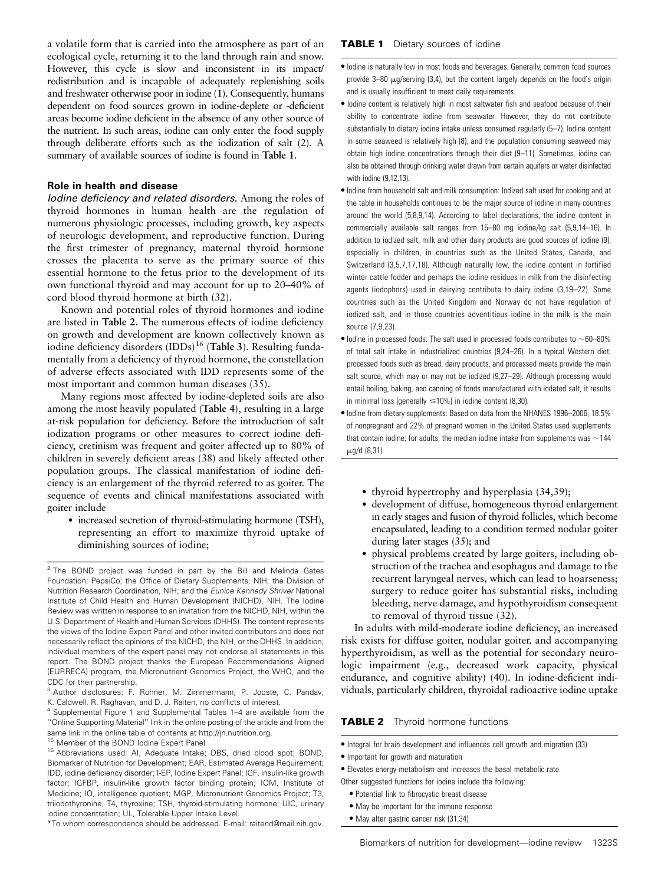a volatile form that is carried into the atmosphere as part of an ecological cycle, returning it to the land through rain and snow. However, this cycle is slow and inconsistent in its impact/ redistribution and is incapable of adequately replenishing soils and freshwater otherwise poor in iodine (1). Consequently, humans dependent on food sources grown in iodine-deplete or -deficient areas become iodine deficient in the absence of any other source of the nutrient. In such areas, iodine can only enter the food supply through deliberate efforts such as the iodization of salt (2). A summary of available sources of iodine is found in Table 1.

# Role in health and disease

Iodine deficiency and related disorders. Among the roles of thyroid hormones in human health are the regulation of numerous physiologic processes, including growth, key aspects of neurologic development, and reproductive function. During the first trimester of pregnancy, maternal thyroid hormone crosses the placenta to serve as the primary source of this essential hormone to the fetus prior to the development of its own functional thyroid and may account for up to 20–40% of cord blood thyroid hormone at birth (32).

Known and potential roles of thyroid hormones and iodine are listed in Table 2. The numerous effects of iodine deficiency on growth and development are known collectively known as iodine deficiency disorders  $(IDDs)$ <sup>16</sup> (Table 3). Resulting fundamentally from a deficiency of thyroid hormone, the constellation of adverse effects associated with IDD represents some of the most important and common human diseases (35).

Many regions most affected by iodine-depleted soils are also among the most heavily populated (Table 4), resulting in a large at-risk population for deficiency. Before the introduction of salt iodization programs or other measures to correct iodine deficiency, cretinism was frequent and goiter affected up to 80% of children in severely deficient areas (38) and likely affected other population groups. The classical manifestation of iodine deficiency is an enlargement of the thyroid referred to as goiter. The sequence of events and clinical manifestations associated with goiter include

• increased secretion of thyroid-stimulating hormone (TSH), representing an effort to maximize thyroid uptake of diminishing sources of iodine;

#### **TABLE 1** Dietary sources of iodine

- $\bullet$  lodine is naturally low in most foods and beverages. Generally, common food sources provide  $3-80$   $\mu$ g/serving (3,4), but the content largely depends on the food's origin and is usually insufficient to meet daily requirements.
- Iodine content is relatively high in most saltwater fish and seafood because of their ability to concentrate iodine from seawater. However, they do not contribute substantially to dietary iodine intake unless consumed regularly (5–7). Iodine content in some seaweed is relatively high (8), and the population consuming seaweed may obtain high iodine concentrations through their diet (9–11). Sometimes, iodine can also be obtained through drinking water drawn from certain aquifers or water disinfected with iodine (9,12,13).
- $\bullet$  lodine from household salt and milk consumption: lodized salt used for cooking and at the table in households continues to be the major source of iodine in many countries around the world (5,8,9,14). According to label declarations, the iodine content in commercially available salt ranges from 15–80 mg iodine/kg salt (5,9,14–16). In addition to iodized salt, milk and other dairy products are good sources of iodine (9), especially in children, in countries such as the United States, Canada, and Switzerland (3,5,7,17,18). Although naturally low, the iodine content in fortified winter cattle fodder and perhaps the iodine residues in milk from the disinfecting agents (iodophors) used in dairying contribute to dairy iodine (3,19–22). Some countries such as the United Kingdom and Norway do not have regulation of iodized salt, and in those countries adventitious iodine in the milk is the main source (7,9,23).
- $\bullet$  lodine in processed foods: The salt used in processed foods contributes to  $\sim$ 60–80% of total salt intake in industrialized countries (9,24–26). In a typical Western diet, processed foods such as bread, dairy products, and processed meats provide the main salt source, which may or may not be iodized (9,27–29). Although processing would entail boiling, baking, and canning of foods manufactured with iodated salt, it results in minimal loss (generally  $\leq$ 10%) in iodine content (8,30).
- $\bullet$  lodine from dietary supplements: Based on data from the NHANES 1996–2006, 18.5% of nonpregnant and 22% of pregnant women in the United States used supplements that contain iodine; for adults, the median iodine intake from supplements was  $\sim$ 144  $\mu$ g/d (8,31).
	- $\bullet$  thyroid hypertrophy and hyperplasia (34,39);
	- development of diffuse, homogeneous thyroid enlargement in early stages and fusion of thyroid follicles, which become encapsulated, leading to a condition termed nodular goiter during later stages (35); and
	- physical problems created by large goiters, including obstruction of the trachea and esophagus and damage to the recurrent laryngeal nerves, which can lead to hoarseness; surgery to reduce goiter has substantial risks, including bleeding, nerve damage, and hypothyroidism consequent to removal of thyroid tissue (32).

In adults with mild-moderate iodine deficiency, an increased risk exists for diffuse goiter, nodular goiter, and accompanying hyperthyroidism, as well as the potential for secondary neurologic impairment (e.g., decreased work capacity, physical endurance, and cognitive ability) (40). In iodine-deficient individuals, particularly children, thyroidal radioactive iodine uptake

#### **TABLE 2** Thyroid hormone functions

- $\bullet$  Integral for brain development and influences cell growth and migration (33)
- $\bullet$  Important for growth and maturation
- <sup>d</sup> Elevates energy metabolism and increases the basal metabolic rate

- <sup>d</sup> Potential link to fibrocystic breast disease
- May be important for the immune response
- May alter gastric cancer risk (31,34)

 $2$  The BOND project was funded in part by the Bill and Melinda Gates Foundation; PepsiCo; the Office of Dietary Supplements, NIH; the Division of Nutrition Research Coordination, NIH; and the Eunice Kennedy Shriver National Institute of Child Health and Human Development (NICHD), NIH. The Iodine Review was written in response to an invitation from the NICHD, NIH, within the U.S. Department of Health and Human Services (DHHS). The content represents the views of the Iodine Expert Panel and other invited contributors and does not necessarily reflect the opinions of the NICHD, the NIH, or the DHHS. In addition, individual members of the expert panel may not endorse all statements in this report. The BOND project thanks the European Recommendations Aligned (EURRECA) program, the Micronutrient Genomics Project, the WHO, and the CDC for their partnership.

<sup>3</sup> Author disclosures: F. Rohner, M. Zimmermann, P. Jooste, C. Pandav, K. Caldwell, R. Raghavan, and D. J. Raiten, no conflicts of interest.

<sup>&</sup>lt;sup>4</sup> Supplemental Figure 1 and Supplemental Tables 1-4 are available from the ''Online Supporting Material'' link in the online posting of the article and from the same link in the online table of contents at http://jn.nutrition.org.

<sup>&</sup>lt;sup>15</sup> Member of the BOND lodine Expert Panel.

<sup>16</sup> Abbreviations used: AI, Adequate Intake; DBS, dried blood spot; BOND, Biomarker of Nutrition for Development; EAR, Estimated Average Requirement; IDD, iodine deficiency disorder; I-EP, Iodine Expert Panel; IGF, insulin-like growth factor; IGFBP, insulin-like growth factor binding protein; IOM, Institute of Medicine; IQ, intelligence quotient; MGP, Micronutrient Genomics Project; T3, triiodothyronine; T4, thyroxine; TSH, thyroid-stimulating hormone; UIC, urinary iodine concentration; UL, Tolerable Upper Intake Level.

<sup>\*</sup>To whom correspondence should be addressed. E-mail: raitend@mail.nih.gov.

Other suggested functions for iodine include the following: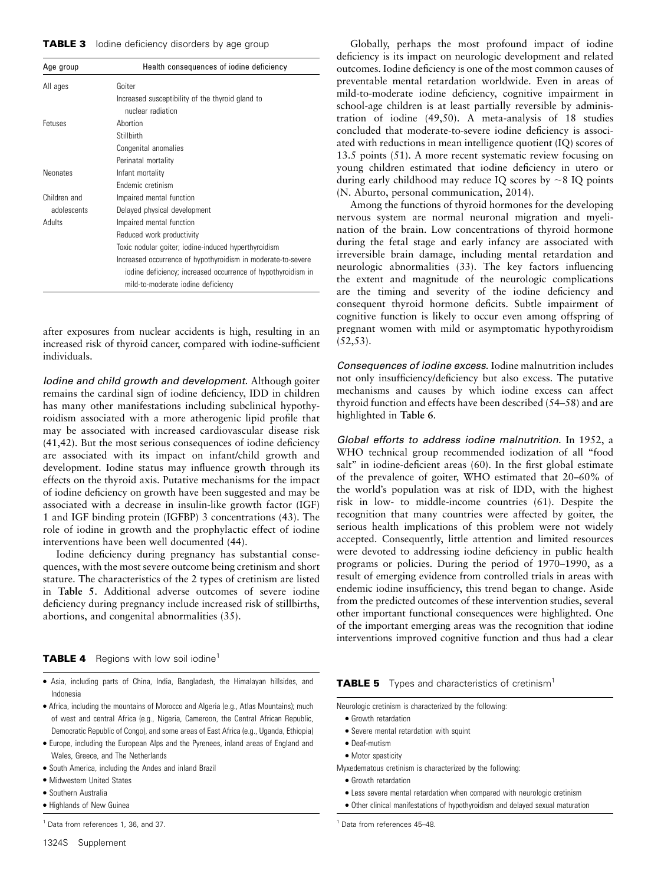#### **TABLE 3** lodine deficiency disorders by age group

| Age group       | Health consequences of iodine deficiency                     |
|-----------------|--------------------------------------------------------------|
| All ages        | Goiter                                                       |
|                 | Increased susceptibility of the thyroid gland to             |
|                 | nuclear radiation                                            |
| Fetuses         | Abortion                                                     |
|                 | Stillbirth                                                   |
|                 | Congenital anomalies                                         |
|                 | Perinatal mortality                                          |
| <b>Neonates</b> | Infant mortality                                             |
|                 | Endemic cretinism                                            |
| Children and    | Impaired mental function                                     |
| adolescents     | Delayed physical development                                 |
| Adults          | Impaired mental function                                     |
|                 | Reduced work productivity                                    |
|                 | Toxic nodular goiter; iodine-induced hyperthyroidism         |
|                 | Increased occurrence of hypothyroidism in moderate-to-severe |
|                 | iodine deficiency; increased occurrence of hypothyroidism in |
|                 | mild-to-moderate iodine deficiency                           |

after exposures from nuclear accidents is high, resulting in an increased risk of thyroid cancer, compared with iodine-sufficient individuals.

Iodine and child growth and development. Although goiter remains the cardinal sign of iodine deficiency, IDD in children has many other manifestations including subclinical hypothyroidism associated with a more atherogenic lipid profile that may be associated with increased cardiovascular disease risk (41,42). But the most serious consequences of iodine deficiency are associated with its impact on infant/child growth and development. Iodine status may influence growth through its effects on the thyroid axis. Putative mechanisms for the impact of iodine deficiency on growth have been suggested and may be associated with a decrease in insulin-like growth factor (IGF) 1 and IGF binding protein (IGFBP) 3 concentrations (43). The role of iodine in growth and the prophylactic effect of iodine interventions have been well documented (44).

Iodine deficiency during pregnancy has substantial consequences, with the most severe outcome being cretinism and short stature. The characteristics of the 2 types of cretinism are listed in Table 5. Additional adverse outcomes of severe iodine deficiency during pregnancy include increased risk of stillbirths, abortions, and congenital abnormalities (35).

#### **TABLE 4** Regions with low soil iodine<sup>1</sup>

- Asia, including parts of China, India, Bangladesh, the Himalayan hillsides, and Indonesia
- <sup>d</sup> Africa, including the mountains of Morocco and Algeria (e.g., Atlas Mountains); much of west and central Africa (e.g., Nigeria, Cameroon, the Central African Republic, Democratic Republic of Congo), and some areas of East Africa (e.g., Uganda, Ethiopia)
- <sup>d</sup> Europe, including the European Alps and the Pyrenees, inland areas of England and Wales, Greece, and The Netherlands
- South America, including the Andes and inland Brazil
- $\bullet$  Midwestern United States
- **Southern Australia**
- Highlands of New Guinea

<sup>1</sup> Data from references 1, 36, and 37.

Globally, perhaps the most profound impact of iodine deficiency is its impact on neurologic development and related outcomes. Iodine deficiency is one of the most common causes of preventable mental retardation worldwide. Even in areas of mild-to-moderate iodine deficiency, cognitive impairment in school-age children is at least partially reversible by administration of iodine (49,50). A meta-analysis of 18 studies concluded that moderate-to-severe iodine deficiency is associated with reductions in mean intelligence quotient (IQ) scores of 13.5 points (51). A more recent systematic review focusing on young children estimated that iodine deficiency in utero or during early childhood may reduce IQ scores by  $\sim$ 8 IQ points (N. Aburto, personal communication, 2014).

Among the functions of thyroid hormones for the developing nervous system are normal neuronal migration and myelination of the brain. Low concentrations of thyroid hormone during the fetal stage and early infancy are associated with irreversible brain damage, including mental retardation and neurologic abnormalities (33). The key factors influencing the extent and magnitude of the neurologic complications are the timing and severity of the iodine deficiency and consequent thyroid hormone deficits. Subtle impairment of cognitive function is likely to occur even among offspring of pregnant women with mild or asymptomatic hypothyroidism  $(52, 53)$ .

Consequences of *iodine excess*. Iodine malnutrition includes not only insufficiency/deficiency but also excess. The putative mechanisms and causes by which iodine excess can affect thyroid function and effects have been described (54–58) and are highlighted in Table 6.

Global efforts to address iodine malnutrition. In 1952, a WHO technical group recommended iodization of all ''food salt" in iodine-deficient areas (60). In the first global estimate of the prevalence of goiter, WHO estimated that 20–60% of the world's population was at risk of IDD, with the highest risk in low- to middle-income countries (61). Despite the recognition that many countries were affected by goiter, the serious health implications of this problem were not widely accepted. Consequently, little attention and limited resources were devoted to addressing iodine deficiency in public health programs or policies. During the period of 1970–1990, as a result of emerging evidence from controlled trials in areas with endemic iodine insufficiency, this trend began to change. Aside from the predicted outcomes of these intervention studies, several other important functional consequences were highlighted. One of the important emerging areas was the recognition that iodine interventions improved cognitive function and thus had a clear

#### **TABLE 5** Types and characteristics of cretinism<sup>1</sup>

Neurologic cretinism is characterized by the following:

- **•** Growth retardation
- Severe mental retardation with squint
- Deaf-mutism
- Motor spasticity
- Myxedematous cretinism is characterized by the following:
	- Growth retardation
	- Less severe mental retardation when compared with neurologic cretinism
	- $\bullet$  Other clinical manifestations of hypothyroidism and delayed sexual maturation

<sup>1</sup> Data from references 45–48.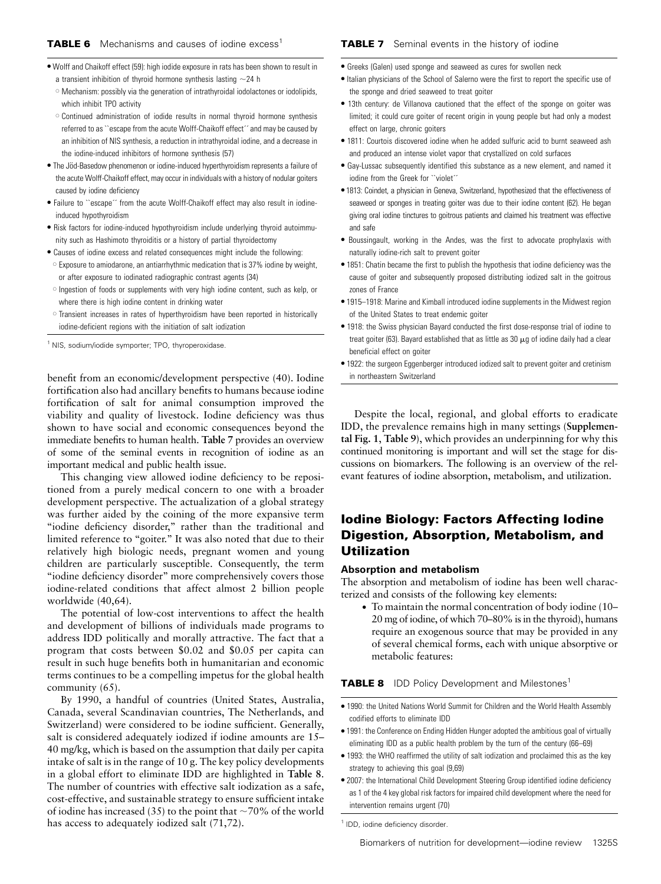#### **TABLE 7** Seminal events in the history of iodine

- Wolff and Chaikoff effect (59): high iodide exposure in rats has been shown to result in
	- a transient inhibition of thyroid hormone synthesis lasting  $\sim$ 24 h
	- o Mechanism: possibly via the generation of intrathyroidal iodolactones or iodolipids, which inhibit TPO activity
	- o Continued administration of iodide results in normal thyroid hormone synthesis referred to as "escape from the acute Wolff-Chaikoff effect" and may be caused by an inhibition of NIS synthesis, a reduction in intrathyroidal iodine, and a decrease in the iodine-induced inhibitors of hormone synthesis (57)
- $\bullet$  The Jöd-Basedow phenomenon or iodine-induced hyperthyroidism represents a failure of the acute Wolff-Chaikoff effect, may occur in individuals with a history of nodular goiters caused by iodine deficiency
- Failure to ``escape" from the acute Wolff-Chaikoff effect may also result in iodineinduced hypothyroidism
- Risk factors for iodine-induced hypothyroidism include underlying thyroid autoimmunity such as Hashimoto thyroiditis or a history of partial thyroidectomy
- Causes of iodine excess and related consequences might include the following:
- <sup>o</sup> Exposure to amiodarone, an antiarrhythmic medication that is 37% iodine by weight, or after exposure to iodinated radiographic contrast agents (34)
- o Ingestion of foods or supplements with very high iodine content, such as kelp, or where there is high iodine content in drinking water
- <sup>s</sup> Transient increases in rates of hyperthyroidism have been reported in historically iodine-deficient regions with the initiation of salt iodization

<sup>1</sup> NIS, sodium/iodide symporter; TPO, thyroperoxidase.

benefit from an economic/development perspective (40). Iodine fortification also had ancillary benefits to humans because iodine fortification of salt for animal consumption improved the viability and quality of livestock. Iodine deficiency was thus shown to have social and economic consequences beyond the immediate benefits to human health. Table 7 provides an overview of some of the seminal events in recognition of iodine as an important medical and public health issue.

This changing view allowed iodine deficiency to be repositioned from a purely medical concern to one with a broader development perspective. The actualization of a global strategy was further aided by the coining of the more expansive term "iodine deficiency disorder," rather than the traditional and limited reference to "goiter." It was also noted that due to their relatively high biologic needs, pregnant women and young children are particularly susceptible. Consequently, the term "iodine deficiency disorder" more comprehensively covers those iodine-related conditions that affect almost 2 billion people worldwide (40,64).

The potential of low-cost interventions to affect the health and development of billions of individuals made programs to address IDD politically and morally attractive. The fact that a program that costs between \$0.02 and \$0.05 per capita can result in such huge benefits both in humanitarian and economic terms continues to be a compelling impetus for the global health community (65).

By 1990, a handful of countries (United States, Australia, Canada, several Scandinavian countries, The Netherlands, and Switzerland) were considered to be iodine sufficient. Generally, salt is considered adequately iodized if iodine amounts are 15– 40 mg/kg, which is based on the assumption that daily per capita intake of salt is in the range of 10 g. The key policy developments in a global effort to eliminate IDD are highlighted in Table 8. The number of countries with effective salt iodization as a safe, cost-effective, and sustainable strategy to ensure sufficient intake of iodine has increased (35) to the point that  $\sim$ 70% of the world has access to adequately iodized salt (71,72).

- **•** Greeks (Galen) used sponge and seaweed as cures for swollen neck
- $\bullet$  Italian physicians of the School of Salerno were the first to report the specific use of the sponge and dried seaweed to treat goiter
- 13th century: de Villanova cautioned that the effect of the sponge on goiter was limited; it could cure goiter of recent origin in young people but had only a modest effect on large, chronic goiters
- 1811: Courtois discovered iodine when he added sulfuric acid to burnt seaweed ash and produced an intense violet vapor that crystallized on cold surfaces
- <sup>d</sup> Gay-Lussac subsequently identified this substance as a new element, and named it iodine from the Greek for "violet"
- <sup>d</sup> 1813: Coindet, a physician in Geneva, Switzerland, hypothesized that the effectiveness of seaweed or sponges in treating goiter was due to their iodine content (62). He began giving oral iodine tinctures to goitrous patients and claimed his treatment was effective and safe
- <sup>d</sup> Boussingault, working in the Andes, was the first to advocate prophylaxis with naturally iodine-rich salt to prevent goiter
- $\bullet$  1851: Chatin became the first to publish the hypothesis that iodine deficiency was the cause of goiter and subsequently proposed distributing iodized salt in the goitrous zones of France
- 1915–1918: Marine and Kimball introduced iodine supplements in the Midwest region of the United States to treat endemic goiter
- 1918: the Swiss physician Bayard conducted the first dose-response trial of iodine to treat goiter (63). Bayard established that as little as 30  $\mu$ g of iodine daily had a clear beneficial effect on goiter
- 1922: the surgeon Eggenberger introduced iodized salt to prevent goiter and cretinism in northeastern Switzerland

Despite the local, regional, and global efforts to eradicate IDD, the prevalence remains high in many settings (Supplemental Fig. 1, Table 9), which provides an underpinning for why this continued monitoring is important and will set the stage for discussions on biomarkers. The following is an overview of the relevant features of iodine absorption, metabolism, and utilization.

# Iodine Biology: Factors Affecting Iodine Digestion, Absorption, Metabolism, and Utilization

#### Absorption and metabolism

The absorption and metabolism of iodine has been well characterized and consists of the following key elements:

• To maintain the normal concentration of body iodine (10– 20 mg of iodine, of which 70–80% is in the thyroid), humans require an exogenous source that may be provided in any of several chemical forms, each with unique absorptive or metabolic features:

**TABLE 8** IDD Policy Development and Milestones<sup>1</sup>

- 1990: the United Nations World Summit for Children and the World Health Assembly codified efforts to eliminate IDD
- 1991: the Conference on Ending Hidden Hunger adopted the ambitious goal of virtually eliminating IDD as a public health problem by the turn of the century (66–69)
- $\bullet$  1993: the WHO reaffirmed the utility of salt iodization and proclaimed this as the key strategy to achieving this goal (9,69)
- 2007: the International Child Development Steering Group identified iodine deficiency as 1 of the 4 key global risk factors for impaired child development where the need for intervention remains urgent (70)

<sup>1</sup> IDD, iodine deficiency disorder.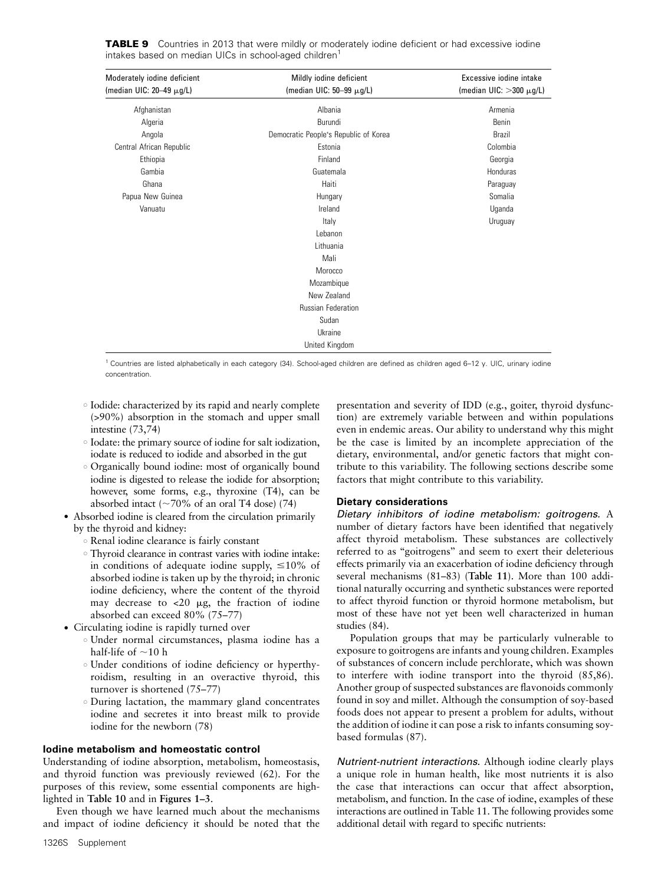| Moderately iodine deficient<br>(median UIC: $20-49 \mu g/L$ ) | Mildly iodine deficient<br>(median UIC: $50-99 \mu g/L$ ) | Excessive jodine intake<br>(median UIC: $>300 \mu g/L$ ) |
|---------------------------------------------------------------|-----------------------------------------------------------|----------------------------------------------------------|
|                                                               |                                                           |                                                          |
| Afghanistan                                                   | Albania                                                   | Armenia                                                  |
| Algeria                                                       | Burundi                                                   | Benin                                                    |
| Angola                                                        | Democratic People's Republic of Korea                     | <b>Brazil</b>                                            |
| Central African Republic                                      | Estonia                                                   | Colombia                                                 |
| Ethiopia                                                      | Finland                                                   | Georgia                                                  |
| Gambia                                                        | Guatemala                                                 | Honduras                                                 |
| Ghana                                                         | Haiti                                                     | Paraguay                                                 |
| Papua New Guinea                                              | Hungary                                                   | Somalia                                                  |
| Vanuatu                                                       | Ireland                                                   | Uganda                                                   |
|                                                               | Italy                                                     | Uruguay                                                  |
|                                                               | Lebanon                                                   |                                                          |
|                                                               | Lithuania                                                 |                                                          |
|                                                               | Mali                                                      |                                                          |
|                                                               | Morocco                                                   |                                                          |
|                                                               | Mozambique                                                |                                                          |
|                                                               | New Zealand                                               |                                                          |
|                                                               | <b>Russian Federation</b>                                 |                                                          |
|                                                               | Sudan                                                     |                                                          |
|                                                               | Ukraine                                                   |                                                          |
|                                                               | United Kingdom                                            |                                                          |

TABLE 9 Countries in 2013 that were mildly or moderately iodine deficient or had excessive iodine intakes based on median UICs in school-aged children<sup>1</sup>

<sup>1</sup> Countries are listed alphabetically in each category (34). School-aged children are defined as children aged 6–12 y. UIC, urinary iodine concentration.

- <sup>s</sup> Iodide: characterized by its rapid and nearly complete (>90%) absorption in the stomach and upper small intestine (73,74)
- <sup>s</sup> Iodate: the primary source of iodine for salt iodization, iodate is reduced to iodide and absorbed in the gut
- <sup>s</sup> Organically bound iodine: most of organically bound iodine is digested to release the iodide for absorption; however, some forms, e.g., thyroxine (T4), can be absorbed intact ( $\sim$ 70% of an oral T4 dose) (74)
- Absorbed iodine is cleared from the circulation primarily by the thyroid and kidney:
	- <sup>s</sup> Renal iodine clearance is fairly constant
	- <sup>s</sup> Thyroid clearance in contrast varies with iodine intake: in conditions of adequate iodine supply,  $\leq 10\%$  of absorbed iodine is taken up by the thyroid; in chronic iodine deficiency, where the content of the thyroid may decrease to  $<$ 20  $\mu$ g, the fraction of iodine absorbed can exceed 80% (75–77)
- Circulating iodine is rapidly turned over
	- <sup>s</sup> Under normal circumstances, plasma iodine has a half-life of  $\sim$ 10 h
	- <sup>s</sup> Under conditions of iodine deficiency or hyperthyroidism, resulting in an overactive thyroid, this turnover is shortened (75–77)
	- <sup>o</sup> During lactation, the mammary gland concentrates iodine and secretes it into breast milk to provide iodine for the newborn (78)

## Iodine metabolism and homeostatic control

Understanding of iodine absorption, metabolism, homeostasis, and thyroid function was previously reviewed (62). For the purposes of this review, some essential components are highlighted in Table 10 and in Figures 1–3.

Even though we have learned much about the mechanisms and impact of iodine deficiency it should be noted that the

1326S Supplement

presentation and severity of IDD (e.g., goiter, thyroid dysfunction) are extremely variable between and within populations even in endemic areas. Our ability to understand why this might be the case is limited by an incomplete appreciation of the dietary, environmental, and/or genetic factors that might contribute to this variability. The following sections describe some factors that might contribute to this variability.

## Dietary considerations

Dietary inhibitors of iodine metabolism: goitrogens. A number of dietary factors have been identified that negatively affect thyroid metabolism. These substances are collectively referred to as ''goitrogens'' and seem to exert their deleterious effects primarily via an exacerbation of iodine deficiency through several mechanisms (81–83) (Table 11). More than 100 additional naturally occurring and synthetic substances were reported to affect thyroid function or thyroid hormone metabolism, but most of these have not yet been well characterized in human studies (84).

Population groups that may be particularly vulnerable to exposure to goitrogens are infants and young children. Examples of substances of concern include perchlorate, which was shown to interfere with iodine transport into the thyroid (85,86). Another group of suspected substances are flavonoids commonly found in soy and millet. Although the consumption of soy-based foods does not appear to present a problem for adults, without the addition of iodine it can pose a risk to infants consuming soybased formulas (87).

Nutrient-nutrient interactions. Although iodine clearly plays a unique role in human health, like most nutrients it is also the case that interactions can occur that affect absorption, metabolism, and function. In the case of iodine, examples of these interactions are outlined in Table 11. The following provides some additional detail with regard to specific nutrients: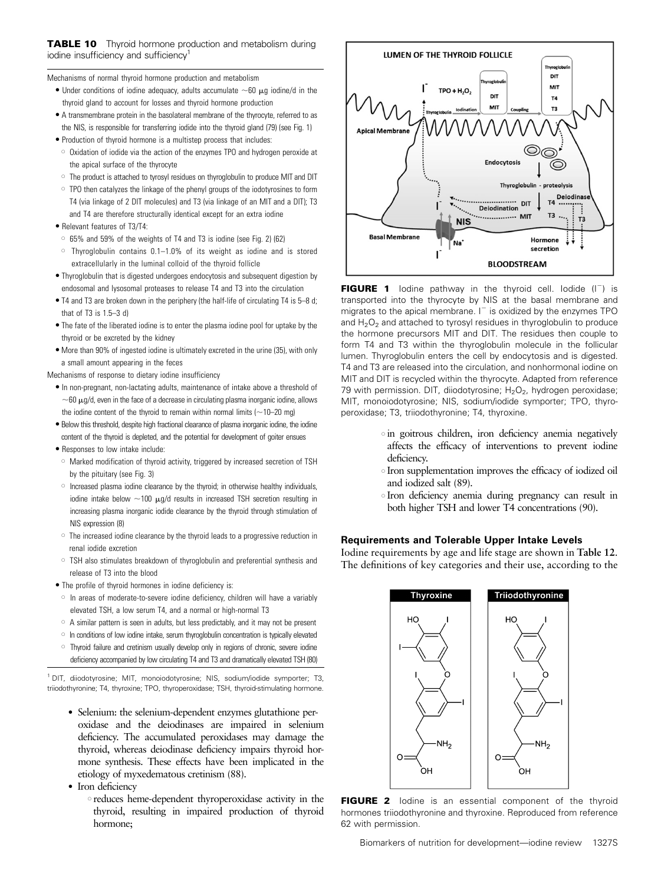Mechanisms of normal thyroid hormone production and metabolism

- Under conditions of iodine adequacy, adults accumulate  $\sim$ 60  $\mu$ g iodine/d in the thyroid gland to account for losses and thyroid hormone production
- A transmembrane protein in the basolateral membrane of the thyrocyte, referred to as the NIS, is responsible for transferring iodide into the thyroid gland (79) (see Fig. 1)
- Production of thyroid hormone is a multistep process that includes:
- o Oxidation of iodide via the action of the enzymes TPO and hydrogen peroxide at the apical surface of the thyrocyte
- $\circ$  The product is attached to tyrosyl residues on thyroglobulin to produce MIT and DIT
- $\circ$  TPO then catalyzes the linkage of the phenyl groups of the iodotyrosines to form T4 (via linkage of 2 DIT molecules) and T3 (via linkage of an MIT and a DIT); T3 and T4 are therefore structurally identical except for an extra iodine
- Relevant features of T3/T4:
- <sup>s</sup> 65% and 59% of the weights of T4 and T3 is iodine (see Fig. 2) (62)
- $\circ$  Thyroglobulin contains 0.1–1.0% of its weight as iodine and is stored extracellularly in the luminal colloid of the thyroid follicle
- <sup>d</sup> Thyroglobulin that is digested undergoes endocytosis and subsequent digestion by endosomal and lysosomal proteases to release T4 and T3 into the circulation
- T4 and T3 are broken down in the periphery (the half-life of circulating T4 is 5–8 d; that of T3 is 1.5–3 d)
- The fate of the liberated iodine is to enter the plasma iodine pool for uptake by the thyroid or be excreted by the kidney
- $\bullet$  More than 90% of ingested iodine is ultimately excreted in the urine (35), with only a small amount appearing in the feces

Mechanisms of response to dietary iodine insufficiency

- $\bullet$  In non-pregnant, non-lactating adults, maintenance of intake above a threshold of  $\sim$  60  $\mu$ g/d, even in the face of a decrease in circulating plasma inorganic iodine, allows the iodine content of the thyroid to remain within normal limits ( $\sim$ 10–20 mg)
- $\bullet$  Below this threshold, despite high fractional clearance of plasma inorganic iodine, the iodine content of the thyroid is depleted, and the potential for development of goiter ensues
- Responses to low intake include:
- $\circ$  Marked modification of thyroid activity, triggered by increased secretion of TSH by the pituitary (see Fig. 3)
- $\circ$  Increased plasma iodine clearance by the thyroid; in otherwise healthy individuals, iodine intake below  $\sim$ 100  $\mu$ g/d results in increased TSH secretion resulting in increasing plasma inorganic iodide clearance by the thyroid through stimulation of NIS expression (8)
- $\circ$  The increased iodine clearance by the thyroid leads to a progressive reduction in renal iodide excretion
- $\circ$  TSH also stimulates breakdown of thyroglobulin and preferential synthesis and release of T3 into the blood
- The profile of thyroid hormones in iodine deficiency is:
- $\circ$  In areas of moderate-to-severe iodine deficiency, children will have a variably elevated TSH, a low serum T4, and a normal or high-normal T3
- $\circ$  A similar pattern is seen in adults, but less predictably, and it may not be present
- o In conditions of low iodine intake, serum thyroglobulin concentration is typically elevated
- $\circ$  Thyroid failure and cretinism usually develop only in regions of chronic, severe iodine deficiency accompanied by low circulating T4 and T3 and dramatically elevated TSH (80)

<sup>1</sup> DIT, diiodotyrosine; MIT, monoiodotyrosine; NIS, sodium/iodide symporter; T3, triiodothyronine; T4, thyroxine; TPO, thyroperoxidase; TSH, thyroid-stimulating hormone.

- Selenium: the selenium-dependent enzymes glutathione peroxidase and the deiodinases are impaired in selenium deficiency. The accumulated peroxidases may damage the thyroid, whereas deiodinase deficiency impairs thyroid hormone synthesis. These effects have been implicated in the etiology of myxedematous cretinism (88).
- Iron deficiency
	- <sup>s</sup> reduces heme-dependent thyroperoxidase activity in the thyroid, resulting in impaired production of thyroid hormone;



**FIGURE 1** Iodine pathway in the thyroid cell. Iodide  $(I^-)$  is transported into the thyrocyte by NIS at the basal membrane and migrates to the apical membrane.  $I^-$  is oxidized by the enzymes TPO and  $H_2O_2$  and attached to tyrosyl residues in thyroglobulin to produce the hormone precursors MIT and DIT. The residues then couple to form T4 and T3 within the thyroglobulin molecule in the follicular lumen. Thyroglobulin enters the cell by endocytosis and is digested. T4 and T3 are released into the circulation, and nonhormonal iodine on MIT and DIT is recycled within the thyrocyte. Adapted from reference 79 with permission. DIT, diiodotyrosine;  $H<sub>2</sub>O<sub>2</sub>$ , hydrogen peroxidase; MIT, monoiodotyrosine; NIS, sodium/iodide symporter; TPO, thyroperoxidase; T3, triiodothyronine; T4, thyroxine.

- <sup>s</sup> in goitrous children, iron deficiency anemia negatively affects the efficacy of interventions to prevent iodine deficiency.
- <sup>s</sup> Iron supplementation improves the efficacy of iodized oil and iodized salt (89).
- <sup>s</sup> Iron deficiency anemia during pregnancy can result in both higher TSH and lower T4 concentrations (90).

# Requirements and Tolerable Upper Intake Levels

Iodine requirements by age and life stage are shown in Table 12. The definitions of key categories and their use, according to the



FIGURE 2 lodine is an essential component of the thyroid hormones triiodothyronine and thyroxine. Reproduced from reference 62 with permission.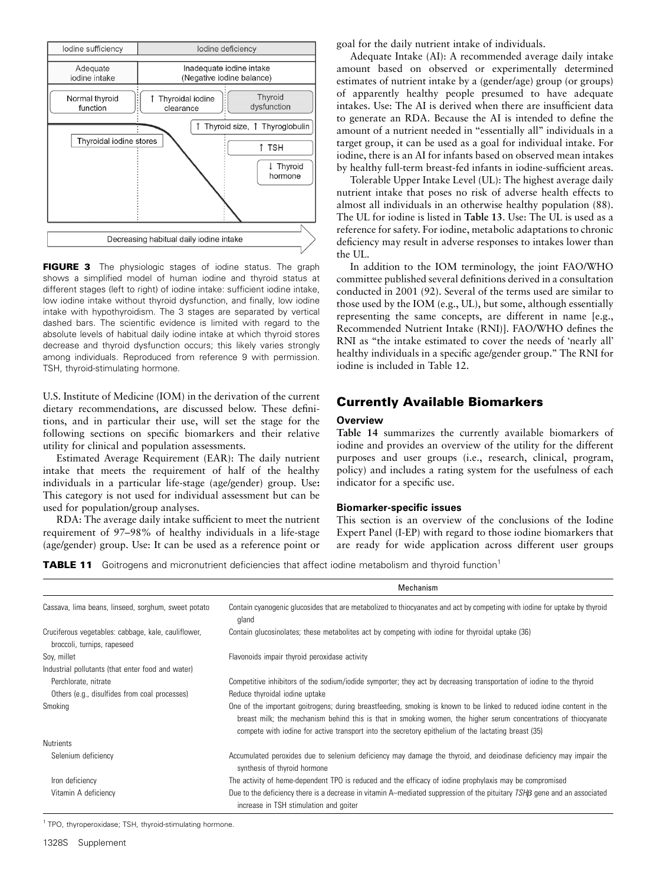

FIGURE 3 The physiologic stages of iodine status. The graph shows a simplified model of human iodine and thyroid status at different stages (left to right) of iodine intake: sufficient iodine intake, low iodine intake without thyroid dysfunction, and finally, low iodine intake with hypothyroidism. The 3 stages are separated by vertical dashed bars. The scientific evidence is limited with regard to the absolute levels of habitual daily iodine intake at which thyroid stores decrease and thyroid dysfunction occurs; this likely varies strongly among individuals. Reproduced from reference 9 with permission. TSH, thyroid-stimulating hormone.

U.S. Institute of Medicine (IOM) in the derivation of the current dietary recommendations, are discussed below. These definitions, and in particular their use, will set the stage for the following sections on specific biomarkers and their relative utility for clinical and population assessments.

Estimated Average Requirement (EAR): The daily nutrient intake that meets the requirement of half of the healthy individuals in a particular life-stage (age/gender) group. Use: This category is not used for individual assessment but can be used for population/group analyses.

RDA: The average daily intake sufficient to meet the nutrient requirement of 97–98% of healthy individuals in a life-stage (age/gender) group. Use: It can be used as a reference point or

goal for the daily nutrient intake of individuals.

Adequate Intake (AI): A recommended average daily intake amount based on observed or experimentally determined estimates of nutrient intake by a (gender/age) group (or groups) of apparently healthy people presumed to have adequate intakes. Use: The AI is derived when there are insufficient data to generate an RDA. Because the AI is intended to define the amount of a nutrient needed in "essentially all" individuals in a target group, it can be used as a goal for individual intake. For iodine, there is an AI for infants based on observed mean intakes by healthy full-term breast-fed infants in iodine-sufficient areas.

Tolerable Upper Intake Level (UL): The highest average daily nutrient intake that poses no risk of adverse health effects to almost all individuals in an otherwise healthy population (88). The UL for iodine is listed in Table 13. Use: The UL is used as a reference for safety. For iodine, metabolic adaptations to chronic deficiency may result in adverse responses to intakes lower than the UL.

In addition to the IOM terminology, the joint FAO/WHO committee published several definitions derived in a consultation conducted in 2001 (92). Several of the terms used are similar to those used by the IOM (e.g., UL), but some, although essentially representing the same concepts, are different in name [e.g., Recommended Nutrient Intake (RNI)]. FAO/WHO defines the RNI as "the intake estimated to cover the needs of 'nearly all' healthy individuals in a specific age/gender group.'' The RNI for iodine is included in Table 12.

# Currently Available Biomarkers

# Overview

Table 14 summarizes the currently available biomarkers of iodine and provides an overview of the utility for the different purposes and user groups (i.e., research, clinical, program, policy) and includes a rating system for the usefulness of each indicator for a specific use.

## Biomarker-specific issues

This section is an overview of the conclusions of the Iodine Expert Panel (I-EP) with regard to those iodine biomarkers that are ready for wide application across different user groups

**TABLE 11** Goitrogens and micronutrient deficiencies that affect iodine metabolism and thyroid function<sup>1</sup>

|                                                                                    | Mechanism                                                                                                                                                                                                                                                                                                                                       |
|------------------------------------------------------------------------------------|-------------------------------------------------------------------------------------------------------------------------------------------------------------------------------------------------------------------------------------------------------------------------------------------------------------------------------------------------|
| Cassava, lima beans, linseed, sorghum, sweet potato                                | Contain cyanogenic glucosides that are metabolized to thiocyanates and act by competing with iodine for uptake by thyroid<br>gland                                                                                                                                                                                                              |
| Cruciferous vegetables: cabbage, kale, cauliflower,<br>broccoli, turnips, rapeseed | Contain glucosinolates; these metabolites act by competing with iodine for thyroidal uptake (36)                                                                                                                                                                                                                                                |
| Soy, millet                                                                        | Flavonoids impair thyroid peroxidase activity                                                                                                                                                                                                                                                                                                   |
| Industrial pollutants (that enter food and water)                                  |                                                                                                                                                                                                                                                                                                                                                 |
| Perchlorate, nitrate                                                               | Competitive inhibitors of the sodium/iodide symporter; they act by decreasing transportation of iodine to the thyroid                                                                                                                                                                                                                           |
| Others (e.g., disulfides from coal processes)                                      | Reduce thyroidal iodine uptake                                                                                                                                                                                                                                                                                                                  |
| Smoking                                                                            | One of the important goitrogens; during breastfeeding, smoking is known to be linked to reduced iodine content in the<br>breast milk; the mechanism behind this is that in smoking women, the higher serum concentrations of thiocyanate<br>compete with iodine for active transport into the secretory epithelium of the lactating breast (35) |
| <b>Nutrients</b>                                                                   |                                                                                                                                                                                                                                                                                                                                                 |
| Selenium deficiency                                                                | Accumulated peroxides due to selenium deficiency may damage the thyroid, and deiodinase deficiency may impair the<br>synthesis of thyroid hormone                                                                                                                                                                                               |
| Iron deficiency                                                                    | The activity of heme-dependent TPO is reduced and the efficacy of iodine prophylaxis may be compromised                                                                                                                                                                                                                                         |
| Vitamin A deficiency                                                               | Due to the deficiency there is a decrease in vitamin A-mediated suppression of the pituitary $TSH\beta$ gene and an associated<br>increase in TSH stimulation and goiter                                                                                                                                                                        |

<sup>1</sup> TPO, thyroperoxidase; TSH, thyroid-stimulating hormone.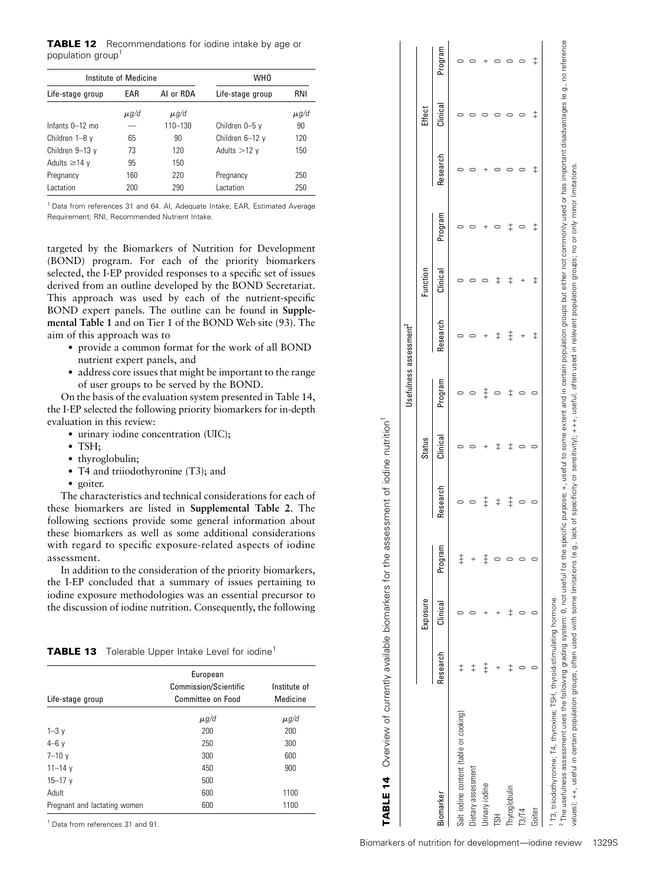**TABLE 12** Recommendations for iodine intake by age or population group<sup>1</sup>

|                    | Institute of Medicine |             | WH <sub>0</sub>  |           |
|--------------------|-----------------------|-------------|------------------|-----------|
| Life-stage group   | EAR                   | AI or RDA   | Life-stage group | RNI       |
|                    | $\mu$ g/d             | $\mu$ g/d   |                  | $\mu$ g/d |
| Infants $0-12$ mo  |                       | $110 - 130$ | Children 0-5 y   | 90        |
| Children 1-8 y     | 65                    | 90          | Children 6-12 y  | 120       |
| Children $9-13$ y  | 73                    | 120         | Adults $>12$ y   | 150       |
| Adults $\geq$ 14 y | 95                    | 150         |                  |           |
| Pregnancy          | 160                   | 220         | Pregnancy        | 250       |
| Lactation          | 200                   | 290         | Lactation        | 250       |

<sup>1</sup> Data from references 31 and 64. Al, Adequate Intake; EAR, Estimated Average Requirement; RNI, Recommended Nutrient Intake.

targeted by the Biomarkers of Nutrition for Development (BOND) program. For each of the priority biomarkers selected, the I-EP provided responses to a specific set of issues derived from an outline developed by the BOND Secretariat. This approach was used by each of the nutrient-specific BOND expert panels. The outline can be found in Supplemental Table 1 and on Tier 1 of the BOND Web site (93). The aim of this approach was to

- provide a common format for the work of all BOND nutrient expert panels, and
- address core issues that might be important to the range of user groups to be served by the BOND.

On the basis of the evaluation system presented in Table 14, the I-EP selected the following priority biomarkers for in-depth evaluation in this review:

- urinary iodine concentration (UIC);
- $\bullet$  TSH;
- thyroglobulin;
- T4 and triiodothyronine (T3); and
- goiter.

The characteristics and technical considerations for each of these biomarkers are listed in Supplemental Table 2. The following sections provide some general information about these biomarkers as well as some additional considerations with regard to specific exposure-related aspects of iodine assessment.

In addition to the consideration of the priority biomarkers, the I-EP concluded that a summary of issues pertaining to iodine exposure methodologies was an essential precursor to the discussion of iodine nutrition. Consequently, the following

TABLE 13 Tolerable Upper Intake Level for iodine<sup>1</sup>

| Life-stage group             | European<br><b>Commission/Scientific</b><br><b>Committee on Food</b> | Institute of<br>Medicine |
|------------------------------|----------------------------------------------------------------------|--------------------------|
|                              | $\mu$ g/d                                                            | $\mu$ g/d                |
| $1 - 3y$                     | 200                                                                  | 200                      |
| $4-6y$                       | 250                                                                  | 300                      |
| $7 - 10y$                    | 300                                                                  | 600                      |
| $11 - 14$ y                  | 450                                                                  | 900                      |
| $15 - 17$ y                  | 500                                                                  |                          |
| Adult                        | 600                                                                  | 1100                     |
| Pregnant and lactating women | 600                                                                  | 1100                     |
|                              |                                                                      |                          |

<sup>1</sup> Data from references 31 and 91.

|                                                                                     |               |          |            |            |               | Usefulness assessment <sup>2</sup> |            |               |            |            |            |            |
|-------------------------------------------------------------------------------------|---------------|----------|------------|------------|---------------|------------------------------------|------------|---------------|------------|------------|------------|------------|
|                                                                                     |               | Exposure |            |            | <b>Status</b> |                                    |            | Function      |            |            | Effect     |            |
| Biomarker                                                                           | Research      | Clinical | Program    | Research   | Clinical      | Program                            | Research   | Clinical      | Program    | Research   | Clinical   | Program    |
| Salt iodine content (table or cooking)                                              | $^\ddag$      |          | $\ddagger$ |            |               |                                    |            |               |            |            |            |            |
| Dietary assessment                                                                  | $\ddagger$    |          |            |            |               |                                    |            |               |            |            |            |            |
| Urinary iodine                                                                      | $\ddagger$    |          | $\ddagger$ | ⇟          |               | $\ddagger$                         |            |               |            |            |            |            |
| <b>HSL</b>                                                                          |               |          |            | $\ddagger$ | $^\ddag$      |                                    | $\ddagger$ | ‡             |            |            |            |            |
| Thyroglobulin                                                                       | $^\mathrm{+}$ |          |            | $\ddagger$ | ‡             |                                    | $\ddagger$ | $^\mathrm{+}$ |            |            |            |            |
| 13/14                                                                               |               |          |            |            |               |                                    | $^{+}$     |               |            |            |            |            |
| Goiter                                                                              |               |          |            |            |               |                                    | $\ddagger$ | $\ddagger$    | $\ddagger$ | $\ddagger$ | $\ddagger$ | $\ddagger$ |
| <sup>1</sup> T3, triiodothyronine; T4, thyroxine; TSH, thyroid-stimulating hormone. |               |          |            |            |               |                                    |            |               |            |            |            |            |

TABLE 14 Overview of currently available biomarkers for the assessment of iodine nutrition1

**TABLE 14** Overview of currently available biomarkers for the assessment of iodine nutrition<sup>1</sup>

The usefulness assessment uses the following grading system: 0, not useful for the specific purpose; +, useful to some extent and in certain population groups but either not commonly used or has important disadvantages (e. <sup>2</sup> The usefulness assessment uses the following grading system; 0, mot useful for the specific purpose; +, useful to some extent and in certain population groups but either not commonly used or has important disadvantages ralues); ++, useful in certain population groups, often used with some limitations (e.g., lack of specificity or sensitivity); +++, useful, often used in relevant population groups; no or only minor limitations values); ++, useful in certain population groups, often used with some limitations (e.g., lack of specificity or sensitivity); +++, useful, often used in relevant population groups; no or only minor limitations.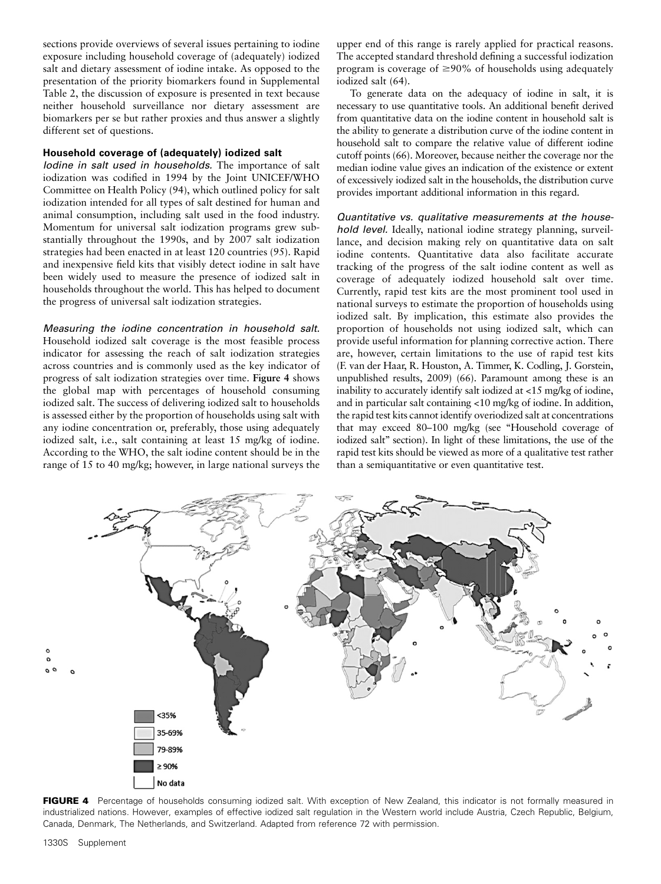sections provide overviews of several issues pertaining to iodine exposure including household coverage of (adequately) iodized salt and dietary assessment of iodine intake. As opposed to the presentation of the priority biomarkers found in Supplemental Table 2, the discussion of exposure is presented in text because neither household surveillance nor dietary assessment are biomarkers per se but rather proxies and thus answer a slightly different set of questions.

# Household coverage of (adequately) iodized salt

Iodine in salt used in households. The importance of salt iodization was codified in 1994 by the Joint UNICEF/WHO Committee on Health Policy (94), which outlined policy for salt iodization intended for all types of salt destined for human and animal consumption, including salt used in the food industry. Momentum for universal salt iodization programs grew substantially throughout the 1990s, and by 2007 salt iodization strategies had been enacted in at least 120 countries (95). Rapid and inexpensive field kits that visibly detect iodine in salt have been widely used to measure the presence of iodized salt in households throughout the world. This has helped to document the progress of universal salt iodization strategies.

Measuring the iodine concentration in household salt. Household iodized salt coverage is the most feasible process indicator for assessing the reach of salt iodization strategies across countries and is commonly used as the key indicator of progress of salt iodization strategies over time. Figure 4 shows the global map with percentages of household consuming iodized salt. The success of delivering iodized salt to households is assessed either by the proportion of households using salt with any iodine concentration or, preferably, those using adequately iodized salt, i.e., salt containing at least 15 mg/kg of iodine. According to the WHO, the salt iodine content should be in the range of 15 to 40 mg/kg; however, in large national surveys the

upper end of this range is rarely applied for practical reasons. The accepted standard threshold defining a successful iodization program is coverage of  $\geq$ 90% of households using adequately iodized salt (64).

To generate data on the adequacy of iodine in salt, it is necessary to use quantitative tools. An additional benefit derived from quantitative data on the iodine content in household salt is the ability to generate a distribution curve of the iodine content in household salt to compare the relative value of different iodine cutoff points (66). Moreover, because neither the coverage nor the median iodine value gives an indication of the existence or extent of excessively iodized salt in the households, the distribution curve provides important additional information in this regard.

Quantitative vs. qualitative measurements at the household level. Ideally, national iodine strategy planning, surveillance, and decision making rely on quantitative data on salt iodine contents. Quantitative data also facilitate accurate tracking of the progress of the salt iodine content as well as coverage of adequately iodized household salt over time. Currently, rapid test kits are the most prominent tool used in national surveys to estimate the proportion of households using iodized salt. By implication, this estimate also provides the proportion of households not using iodized salt, which can provide useful information for planning corrective action. There are, however, certain limitations to the use of rapid test kits (F. van der Haar, R. Houston, A. Timmer, K. Codling, J. Gorstein, unpublished results, 2009) (66). Paramount among these is an inability to accurately identify salt iodized at <15 mg/kg of iodine, and in particular salt containing <10 mg/kg of iodine. In addition, the rapid test kits cannot identify overiodized salt at concentrations that may exceed 80–100 mg/kg (see ''Household coverage of iodized salt'' section). In light of these limitations, the use of the rapid test kits should be viewed as more of a qualitative test rather than a semiquantitative or even quantitative test.



FIGURE 4 Percentage of households consuming iodized salt. With exception of New Zealand, this indicator is not formally measured in industrialized nations. However, examples of effective iodized salt regulation in the Western world include Austria, Czech Republic, Belgium, Canada, Denmark, The Netherlands, and Switzerland. Adapted from reference 72 with permission.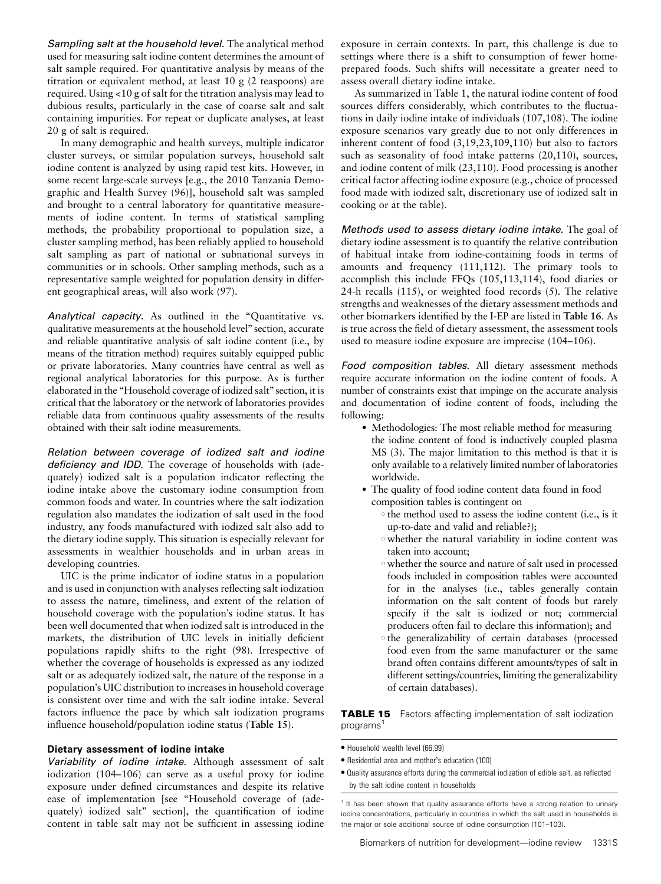Sampling salt at the household level. The analytical method used for measuring salt iodine content determines the amount of salt sample required. For quantitative analysis by means of the titration or equivalent method, at least 10 g (2 teaspoons) are required. Using <10 g of salt for the titration analysis may lead to dubious results, particularly in the case of coarse salt and salt containing impurities. For repeat or duplicate analyses, at least 20 g of salt is required.

In many demographic and health surveys, multiple indicator cluster surveys, or similar population surveys, household salt iodine content is analyzed by using rapid test kits. However, in some recent large-scale surveys [e.g., the 2010 Tanzania Demographic and Health Survey (96)], household salt was sampled and brought to a central laboratory for quantitative measurements of iodine content. In terms of statistical sampling methods, the probability proportional to population size, a cluster sampling method, has been reliably applied to household salt sampling as part of national or subnational surveys in communities or in schools. Other sampling methods, such as a representative sample weighted for population density in different geographical areas, will also work (97).

Analytical capacity. As outlined in the "Quantitative vs. qualitative measurements at the household level'' section, accurate and reliable quantitative analysis of salt iodine content (i.e., by means of the titration method) requires suitably equipped public or private laboratories. Many countries have central as well as regional analytical laboratories for this purpose. As is further elaborated in the ''Household coverage of iodized salt'' section, it is critical that the laboratory or the network of laboratories provides reliable data from continuous quality assessments of the results obtained with their salt iodine measurements.

Relation between coverage of iodized salt and iodine deficiency and IDD. The coverage of households with (adequately) iodized salt is a population indicator reflecting the iodine intake above the customary iodine consumption from common foods and water. In countries where the salt iodization regulation also mandates the iodization of salt used in the food industry, any foods manufactured with iodized salt also add to the dietary iodine supply. This situation is especially relevant for assessments in wealthier households and in urban areas in developing countries.

UIC is the prime indicator of iodine status in a population and is used in conjunction with analyses reflecting salt iodization to assess the nature, timeliness, and extent of the relation of household coverage with the population's iodine status. It has been well documented that when iodized salt is introduced in the markets, the distribution of UIC levels in initially deficient populations rapidly shifts to the right (98). Irrespective of whether the coverage of households is expressed as any iodized salt or as adequately iodized salt, the nature of the response in a population's UIC distribution to increases in household coverage is consistent over time and with the salt iodine intake. Several factors influence the pace by which salt iodization programs influence household/population iodine status (Table 15).

# Dietary assessment of iodine intake

Variability of iodine intake. Although assessment of salt iodization (104–106) can serve as a useful proxy for iodine exposure under defined circumstances and despite its relative ease of implementation [see ''Household coverage of (adequately) iodized salt" section], the quantification of iodine content in table salt may not be sufficient in assessing iodine exposure in certain contexts. In part, this challenge is due to settings where there is a shift to consumption of fewer homeprepared foods. Such shifts will necessitate a greater need to assess overall dietary iodine intake.

As summarized in Table 1, the natural iodine content of food sources differs considerably, which contributes to the fluctuations in daily iodine intake of individuals (107,108). The iodine exposure scenarios vary greatly due to not only differences in inherent content of food (3,19,23,109,110) but also to factors such as seasonality of food intake patterns (20,110), sources, and iodine content of milk (23,110). Food processing is another critical factor affecting iodine exposure (e.g., choice of processed food made with iodized salt, discretionary use of iodized salt in cooking or at the table).

Methods used to assess dietary iodine intake. The goal of dietary iodine assessment is to quantify the relative contribution of habitual intake from iodine-containing foods in terms of amounts and frequency (111,112). The primary tools to accomplish this include FFQs (105,113,114), food diaries or 24-h recalls (115), or weighted food records (5). The relative strengths and weaknesses of the dietary assessment methods and other biomarkers identified by the I-EP are listed in Table 16. As is true across the field of dietary assessment, the assessment tools used to measure iodine exposure are imprecise (104–106).

Food composition tables. All dietary assessment methods require accurate information on the iodine content of foods. A number of constraints exist that impinge on the accurate analysis and documentation of iodine content of foods, including the following:

- Methodologies: The most reliable method for measuring the iodine content of food is inductively coupled plasma MS (3). The major limitation to this method is that it is only available to a relatively limited number of laboratories worldwide.
- The quality of food iodine content data found in food composition tables is contingent on
	- $\circ$  the method used to assess the iodine content (i.e., is it up-to-date and valid and reliable?);
	- <sup>s</sup> whether the natural variability in iodine content was taken into account;
	- o whether the source and nature of salt used in processed foods included in composition tables were accounted for in the analyses (i.e., tables generally contain information on the salt content of foods but rarely specify if the salt is iodized or not; commercial producers often fail to declare this information); and
	- o the generalizability of certain databases (processed food even from the same manufacturer or the same brand often contains different amounts/types of salt in different settings/countries, limiting the generalizability of certain databases).

TABLE 15 Factors affecting implementation of salt iodization programs<sup>1</sup>

- $\bullet$  Household wealth level (66,99)
- Residential area and mother's education (100)
- $\bullet$  Quality assurance efforts during the commercial iodization of edible salt, as reflected by the salt iodine content in households

<sup>1</sup> It has been shown that quality assurance efforts have a strong relation to urinary iodine concentrations, particularly in countries in which the salt used in households is the major or sole additional source of iodine consumption (101–103).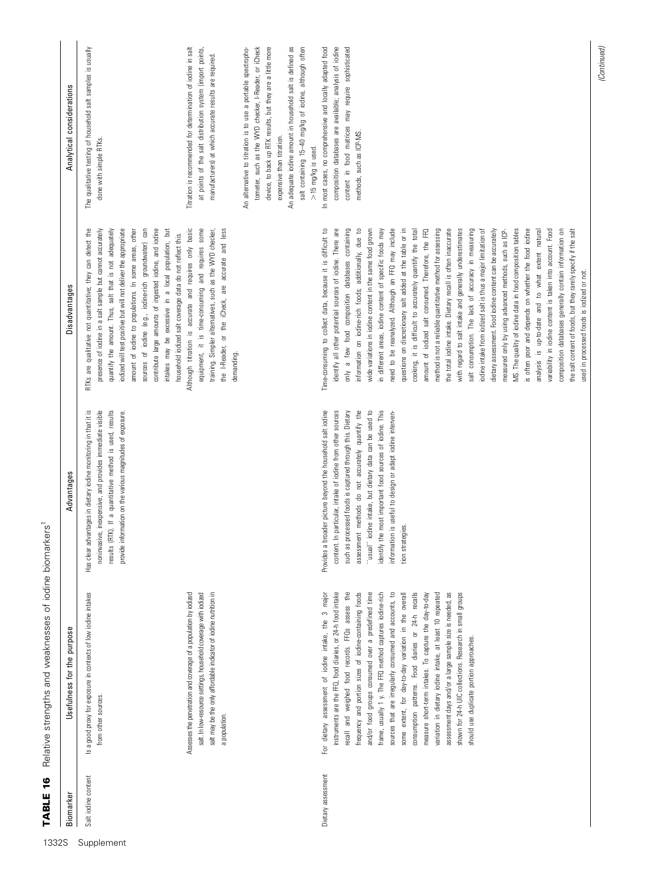| Biomarker           | Usefulness for the purpose                                                                                                                                                                                                                                                                                                                                                                                                                                                                                                                                                                                                                                                                                                                                                                                         | Advantages                                                                                                                                                                                                                                                                                                                                                                                                                                          | Disadvantages                                                                                                                                                                                                                                                                                                                                                                                                                                                                                                                                                                                                                                                                                                                                                                                                                                                                                                                                                                                                                                                                                                                                                                                                                                                                                                                                                                                                                                              | Analytical considerations                                                                                                                                                                                                                                                                                                                                                                                                                                                                                                                             |
|---------------------|--------------------------------------------------------------------------------------------------------------------------------------------------------------------------------------------------------------------------------------------------------------------------------------------------------------------------------------------------------------------------------------------------------------------------------------------------------------------------------------------------------------------------------------------------------------------------------------------------------------------------------------------------------------------------------------------------------------------------------------------------------------------------------------------------------------------|-----------------------------------------------------------------------------------------------------------------------------------------------------------------------------------------------------------------------------------------------------------------------------------------------------------------------------------------------------------------------------------------------------------------------------------------------------|------------------------------------------------------------------------------------------------------------------------------------------------------------------------------------------------------------------------------------------------------------------------------------------------------------------------------------------------------------------------------------------------------------------------------------------------------------------------------------------------------------------------------------------------------------------------------------------------------------------------------------------------------------------------------------------------------------------------------------------------------------------------------------------------------------------------------------------------------------------------------------------------------------------------------------------------------------------------------------------------------------------------------------------------------------------------------------------------------------------------------------------------------------------------------------------------------------------------------------------------------------------------------------------------------------------------------------------------------------------------------------------------------------------------------------------------------------|-------------------------------------------------------------------------------------------------------------------------------------------------------------------------------------------------------------------------------------------------------------------------------------------------------------------------------------------------------------------------------------------------------------------------------------------------------------------------------------------------------------------------------------------------------|
| Salt iodine content | Is a good proxy for exposure in contexts of low iodine intakes<br>from other sources.                                                                                                                                                                                                                                                                                                                                                                                                                                                                                                                                                                                                                                                                                                                              | results (RTK). If a quantitative method is used, results<br>advantages in dietary iodine monitoring in that it is<br>noninvasive, inexpensive, and provides immediate visible<br>provide information on the various magnitudes of exposure.<br>Has clear                                                                                                                                                                                            | contribute large amounts of ingested iodine, and iodine<br>RTKs are qualitative not quantitative; they can detect the<br>iodized will test positive but will not deliver the appropriate<br>sources of iodine (e.g., iodine-rich groundwater) can<br>presence of iodine in a salt sample but cannot accurately<br>quantify the amount. Thus, salt that is not adequately<br>intakes may be excessive in a local population, but<br>amount of iodine to populations. In some areas, other<br>household iodized salt coverage data do not reflect this.                                                                                                                                                                                                                                                                                                                                                                                                                                                                                                                                                                                                                                                                                                                                                                                                                                                                                                      | The qualitative testing of household salt samples is usually<br>done with simple RTKs                                                                                                                                                                                                                                                                                                                                                                                                                                                                 |
|                     | Assesses the penetration and coverage of a population by iodized<br>salt. In low-resource settings, household coverage with iodized<br>salt may be the only affordable indicator of iodine nutrition in<br>a population.                                                                                                                                                                                                                                                                                                                                                                                                                                                                                                                                                                                           |                                                                                                                                                                                                                                                                                                                                                                                                                                                     | Although titration is accurate and requires only basic<br>some<br>training. Simpler alternatives, such as the WYD checker,<br>the I-Reader, or the iCheck, are accurate and less<br>equipment, it is time-consuming and requires<br>demanding.                                                                                                                                                                                                                                                                                                                                                                                                                                                                                                                                                                                                                                                                                                                                                                                                                                                                                                                                                                                                                                                                                                                                                                                                             | tometer, such as the WYD checker, I-Reader, or iCheck<br>An adequate iodine amount in household salt is defined as<br>device, to back up RTK results, but they are a little more<br>Titration is recommended for determination of iodine in salt<br>at points of the salt distribution system (import points,<br>salt containing 15-40 mg/kg of iodine, although often<br>An alternative to titration is to use a portable spectropho-<br>manufacturers) at which accurate results are required.<br>expensive than titration.<br>$>15$ mg/kg is used. |
| Dietary assessment  | shown for 24-h UIC collections. Research in small groups<br>For dietary assessment of iodine intake, the 3 major<br>instruments are the FFQ, food diaries, or 24-h food intake<br>recall and weighed food records. FFQs assess the<br>frequency and portion sizes of iodine-containing foods<br>and/or food groups consumed over a predefined time<br>frame, usually 1 y. The FFQ method captures iodine-rich<br>sources that are irregularly consumed and accounts, to<br>some extent, for day-to-day variation in the overall<br>consumption patterns. Food diaries or 24-h recalls<br>variation in dietary iodine intake, at least 10 repeated<br>assessment days and/or a large sample size is needed, as<br>measure short-term intakes. To capture the day-to-day<br>should use duplicate portion approaches. | such as processed foods is captured through this. Dietary<br>assessment methods do not accurately quantify the<br>"usual" iodine intake, but dietary data can be used to<br>identify the most important food sources of iodine. This<br>Provides a broader picture beyond the household salt iodine<br>content. In particular, intake of iodine from other sources<br>information is useful to design or adapt iodine interven-<br>tion strategies. | Time-consuming to collect data, because it is difficult to<br>identify all other potential sources of iodine. There are<br>only a few food composition databases containing<br>information on iodine-rich foods; additionally, due to<br>wide variations in iodine content in the same food grown<br>need to be reanalyzed. Although an FFQ may include<br>questions on discretionary salt added at the table or in<br>amount of iodized salt consumed. Therefore, the FFQ<br>method is not a reliable quantitative method for assessing<br>the total iodine intake. Dietary recall is often inaccurate<br>with regard to salt intake and generally underestimates<br>salt consumption. The lack of accuracy in measuring<br>MS. The quality of iodine data in food composition tables<br>composition databases generally contain information on<br>in different areas, iodine content of specific foods may<br>iodine intake from iodized salt is thus a major limitation of<br>dietary assessment. Food iodine content can be accurately<br>is often poor and depends on whether the food iodine<br>variability in iodine content is taken into account. Food<br>the salt content of foods, but they rarely specify if the salt<br>cooking, it is difficult to accurately quantify the total<br>analysis is up-to-date and to what extent natural<br>measured only by using advanced methods, such as ICP-<br>used in processed foods is iodized or not. | composition databases are available; analysis of iodine<br>content in food matrices may require sophisticated<br>most cases, no comprehensive and locally adapted food<br>methods, such as ICP-MS.<br>$\equiv$                                                                                                                                                                                                                                                                                                                                        |

(Continued)

1332S Supplement

TABLE 16 Relative strengths and weaknesses of iodine biomarkers<sup>1</sup>

TABLE 16 Relative strengths and weaknesses of iodine biomarkers<sup>1</sup>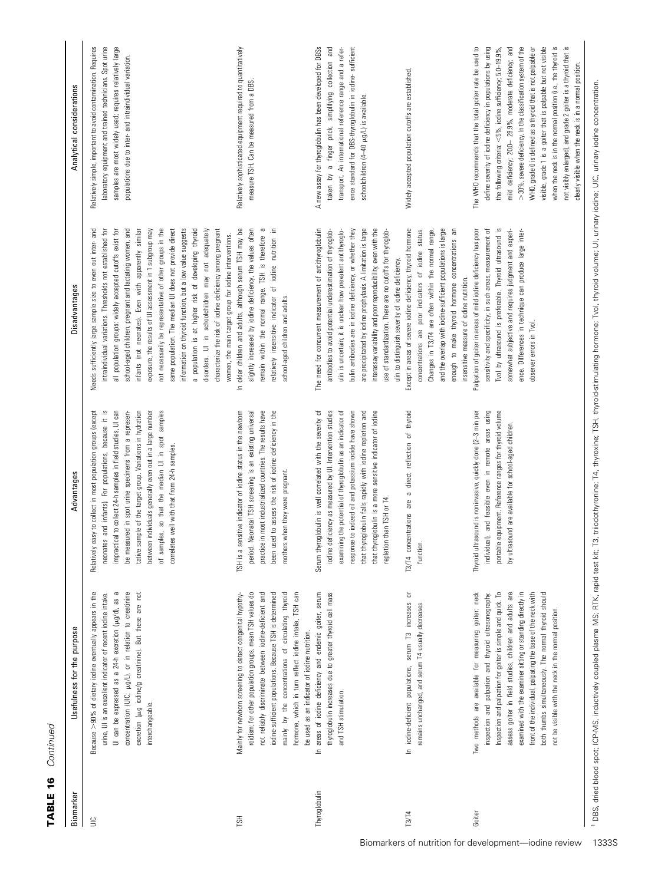| TABLE 16  | Continued                 |
|-----------|---------------------------|
| Rinmarker | Isefulness for the numose |

| Biomarker     | Usefulness for the purpose                                                                                                                                                                                                                                                                                                                                                                                                                                                             | Advantages                                                                                                                                                                                                                                                                                                                                                                                                                                                                       | Disadvantages                                                                                                                                                                                                                                                                                                                                                                                                                                                                                                                                                                                                                                                                                                                                                                                | Analytical considerations                                                                                                                                                                                                                                                                                                                                                                                                                                                                                                                                                                                                                             |
|---------------|----------------------------------------------------------------------------------------------------------------------------------------------------------------------------------------------------------------------------------------------------------------------------------------------------------------------------------------------------------------------------------------------------------------------------------------------------------------------------------------|----------------------------------------------------------------------------------------------------------------------------------------------------------------------------------------------------------------------------------------------------------------------------------------------------------------------------------------------------------------------------------------------------------------------------------------------------------------------------------|----------------------------------------------------------------------------------------------------------------------------------------------------------------------------------------------------------------------------------------------------------------------------------------------------------------------------------------------------------------------------------------------------------------------------------------------------------------------------------------------------------------------------------------------------------------------------------------------------------------------------------------------------------------------------------------------------------------------------------------------------------------------------------------------|-------------------------------------------------------------------------------------------------------------------------------------------------------------------------------------------------------------------------------------------------------------------------------------------------------------------------------------------------------------------------------------------------------------------------------------------------------------------------------------------------------------------------------------------------------------------------------------------------------------------------------------------------------|
| $\equiv$      | concentration (UIC; µg/L), or in relation to creatinine<br>Because >90% of dietary iodine eventually appears in the<br>excretion (µ.g iodine/g creatinine). But these are not<br>urine, UI is an excellent indicator of recent iodine intake.<br>UI can be expressed as a 24-h excretion (µ.g/d), as<br>interchangeable.                                                                                                                                                               | neonates and infants). For populations, because it is<br>impractical to collect 24-h samples in field studies, UI can<br>sample of the target group. Variations in hydration<br>between individuals generally even out in a large number<br>Relatively easy to collect in most population groups (except<br>of samples, so that the median UI in spot samples<br>be measured in spot urine specimens from a represen-<br>correlates well with that from 24-h samples.<br>tative: | Needs sufficiently large sample size to even out inter- and<br>all population groups: widely accepted cutoffs exist for<br>school-aged children, pregnant and lactating women, and<br>information on thyroid function, but a low value suggests<br>a population is at higher risk of developing thyroid<br>intraindividual variations. Thresholds not established for<br>not necessarily be representative of other groups in the<br>infants (not neonates). Even with apparently similar<br>same population. The median UI does not provide direct<br>disorders. UI in schoolchildren may not adequately<br>characterize the risk of iodine deficiency among pregnant<br>exposure, the results of UI assessment in 1 subgroup may<br>women, the main target group for iodine interventions. | Relatively simple, important to avoid contamination. Requires<br>laboratory equipment and trained technicians. Spot urine<br>samples are most widely used; requires relatively large<br>populations due to inter- and intraindividual variation.                                                                                                                                                                                                                                                                                                                                                                                                      |
| <b>HSL</b>    | roidism; for other population groups, mean TSH values do<br>not reliably discriminate between iodine-deficient and<br>iodine-sufficient populations. Because TSH is determined<br>mainly by the concentrations of circulating thyroid<br>hormone, which in turn reflect iodine intake, TSH can<br>Mainly for newborn screening to detect congenital hypothy-<br>be used as an indicator of iodine nutrition.                                                                           | practice in most industrialized countries. The results have<br>been used to assess the risk of iodine deficiency in the<br>TSH is a sensitive indicator of iodine status in the newborn<br>period. Neonatal TSH screening is an existing universal<br>mothers when they were pregnant.                                                                                                                                                                                           | remain within the normal range. TSH is therefore a<br>relatively insensitive indicator of iodine nutrition in<br>å<br>slightly increased by iodine deficiency, the values often<br>In older children and adults, although serum TSH may<br>school-aged children and adults.                                                                                                                                                                                                                                                                                                                                                                                                                                                                                                                  | Relatively sophisticated equipment required to quantitatively<br>measure TSH. Can be measured from a DBS.                                                                                                                                                                                                                                                                                                                                                                                                                                                                                                                                             |
| Thyroglobulin | thyroglobulin increases due to greater thyroid cell mass<br>In areas of iodine deficiency and endemic goiter, serum<br>and TSH stimulation.                                                                                                                                                                                                                                                                                                                                            | Serum thyroglobulin is well correlated with the severity of<br>examining the potential of thyroglobulin as an indicator of<br>response to iodized oil and potassium iodide have shown<br>deficiency as measured by UI. Intervention studies<br>that thyroglobulin falls rapidly with iodine repletion and<br>that thyroglobulin is a more sensitive indicator of iodine<br>repletion than TSH or T4.<br>iodine                                                                   | The need for concurrent measurement of antithyroglobulin<br>are precipitated by iodine prophylaxis. A limitation is large<br>interassay variability and poor reproducibility, even with the<br>bulin antibodies are in iodine deficiency, or whether they<br>antibodies to avoid potential underestimation of thyroglob-<br>ulin is uncertain; it is unclear how prevalent antithyroglo-<br>use of standardization. There are no cutoffs for thyroglob-<br>ulin to distinguish severity of iodine deficiency.                                                                                                                                                                                                                                                                                | A new assay for thyroglobulin has been developed for DBSs<br>taken by a finger prick, simplifying collection and<br>transport. An international reference range and a refer-<br>ence standard for DBS-thyroglobulin in iodine- sufficient<br>schoolchildren (4-40 µg/L) is available.                                                                                                                                                                                                                                                                                                                                                                 |
| <b>ТЗ/Т4</b>  | In iodine-deficient populations, serum T3 increases or<br>remains unchanged, and serum T4 usually decreases.                                                                                                                                                                                                                                                                                                                                                                           | T3/T4 concentrations are a direct reflection of thyroid<br>function.                                                                                                                                                                                                                                                                                                                                                                                                             | Except in areas of severe iodine deficiency, thyroid hormone<br>and the overlap with iodine-sufficient populations is large<br>enough to make thyroid hormone concentrations an<br>concentrations are poor indicators of iodine status.<br>Changes in T3/T4 are often within the normal range,<br>insensitive measure of iodine nutrition.                                                                                                                                                                                                                                                                                                                                                                                                                                                   | Widely accepted population cutoffs are established.                                                                                                                                                                                                                                                                                                                                                                                                                                                                                                                                                                                                   |
| Goiter        | Two methods are available for measuring goiter: neck<br>assess goiter in field studies, children and adults are<br>both thumbs simultaneously. The normal thyroid should<br>Inspection and palpation for goiter is simple and quick. To<br>examined with the examiner sitting or standing directly in<br>front of the individual, palpating the base of the neck with<br>inspection and palpation and thyroid ultrasonography.<br>not be visible with the neck in the normal position. | portable equipment. Reference ranges for thyroid volume<br>Thyroid ultrasound is noninvasive, quickly done (2-3 min per<br>individual), and feasible even in remote areas using<br>by ultrasound are available for school-aged children.                                                                                                                                                                                                                                         | Tvol by ultrasound is preferable. Thyroid ultrasound is<br>somewhat subjective and requires judgment and experi-<br>Palpation of goiter in areas of mild iodine deficiency has poor<br>sensitivity and specificity; in such areas, measurement of<br>ence. Differences in technique can produce large inter-<br>observer errors in Tvol.                                                                                                                                                                                                                                                                                                                                                                                                                                                     | when the neck is in the normal position (i.e., the thyroid is<br>visible, grade 1 is a goiter that is palpable but not visible<br>not visibly enlarged), and grade 2 goiter is a thyroid that is<br>The WHO recommends that the total goiter rate be used to<br>define severity of iodine deficiency in populations by using<br>mild deficiency; 20.0-29.9%, moderate deficiency; and<br>>30%, severe deficiency. In the classification system of the<br>WHO, grade 0 is defined as a thyroid that is not palpable or<br>the following criteria: $<$ 5%, iodine sufficiency; $5.0-19.9\%$ ,<br>clearly visible when the neck is in a normal position. |

<sup>1</sup> DBS, dried blood spot; ICP-MS, inductively coupled plasma MS; RTK, rapid test kit; T3, triiodothyronine; T4, thyroxine; TSH, thyroid-stimulating hormone; Tvol, thyroid volume; UI, urinary iodine; UIC, urinary iodine co ' DBS, Grea spot; ICP-MS, inductively coupled plasma MS; RTK, rapid test kit; T3, trinodothyronine; T4, thγroid-stimulating hormone; Tvol, thγroid-volume; UI, urinary iodine concentration.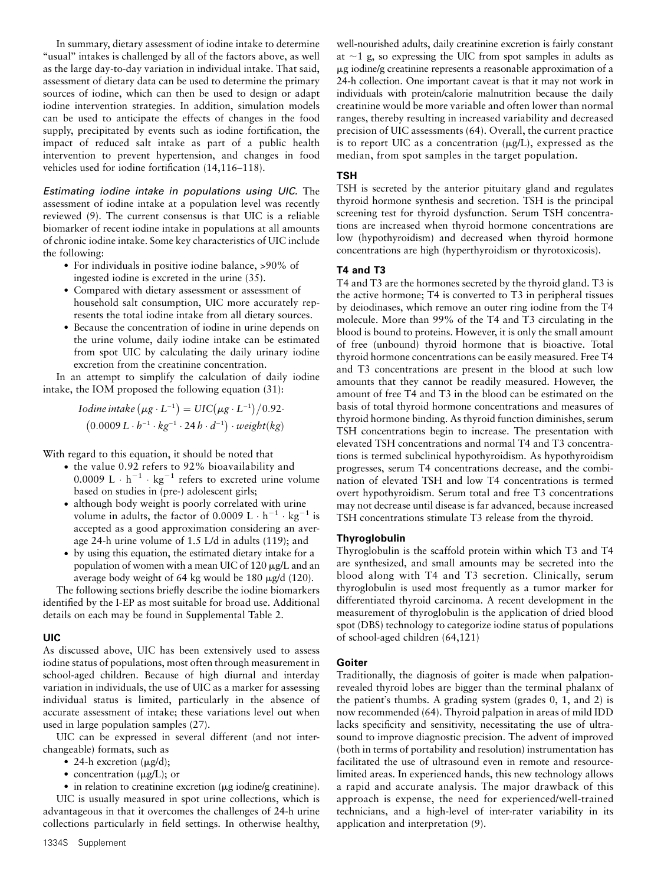In summary, dietary assessment of iodine intake to determine "usual" intakes is challenged by all of the factors above, as well as the large day-to-day variation in individual intake. That said, assessment of dietary data can be used to determine the primary sources of iodine, which can then be used to design or adapt iodine intervention strategies. In addition, simulation models can be used to anticipate the effects of changes in the food supply, precipitated by events such as iodine fortification, the impact of reduced salt intake as part of a public health intervention to prevent hypertension, and changes in food vehicles used for iodine fortification (14,116–118).

Estimating iodine intake in populations using UIC. The assessment of iodine intake at a population level was recently reviewed (9). The current consensus is that UIC is a reliable biomarker of recent iodine intake in populations at all amounts of chronic iodine intake. Some key characteristics of UIC include the following:

- For individuals in positive iodine balance, >90% of ingested iodine is excreted in the urine (35).
- Compared with dietary assessment or assessment of household salt consumption, UIC more accurately represents the total iodine intake from all dietary sources.
- Because the concentration of iodine in urine depends on the urine volume, daily iodine intake can be estimated from spot UIC by calculating the daily urinary iodine excretion from the creatinine concentration.

In an attempt to simplify the calculation of daily iodine intake, the IOM proposed the following equation (31):

> Iodine intake  $(\mu g \cdot L^{-1}) = UIC(\mu g \cdot L^{-1})/0.92$ .  $(0.0009 L \cdot h^{-1} \cdot kg^{-1} \cdot 24 h \cdot d^{-1}) \cdot weight(kg)$

With regard to this equation, it should be noted that

- $\bullet$  the value 0.92 refers to 92% bioavailability and 0.0009 L  $\cdot$  h<sup>-1</sup>  $\cdot$  kg<sup>-1</sup> refers to excreted urine volume based on studies in (pre-) adolescent girls;
- although body weight is poorly correlated with urine volume in adults, the factor of 0.0009 L  $\cdot$  h<sup>-1</sup>  $\cdot$  kg<sup>-1</sup> is accepted as a good approximation considering an average 24-h urine volume of 1.5 L/d in adults (119); and
- by using this equation, the estimated dietary intake for a population of women with a mean UIC of 120  $\mu$ g/L and an average body weight of 64 kg would be 180 µg/d (120).

The following sections briefly describe the iodine biomarkers identified by the I-EP as most suitable for broad use. Additional details on each may be found in Supplemental Table 2.

## UIC

As discussed above, UIC has been extensively used to assess iodine status of populations, most often through measurement in school-aged children. Because of high diurnal and interday variation in individuals, the use of UIC as a marker for assessing individual status is limited, particularly in the absence of accurate assessment of intake; these variations level out when used in large population samples (27).

UIC can be expressed in several different (and not interchangeable) formats, such as

- 24-h excretion  $(\mu g/d);$
- concentration  $(\mu g/L)$ ; or

 $\bullet$  in relation to creatinine excretion ( $\mu$ g iodine/g creatinine). UIC is usually measured in spot urine collections, which is advantageous in that it overcomes the challenges of 24-h urine collections particularly in field settings. In otherwise healthy, well-nourished adults, daily creatinine excretion is fairly constant at  $\sim$ 1 g, so expressing the UIC from spot samples in adults as mg iodine/g creatinine represents a reasonable approximation of a 24-h collection. One important caveat is that it may not work in individuals with protein/calorie malnutrition because the daily creatinine would be more variable and often lower than normal ranges, thereby resulting in increased variability and decreased precision of UIC assessments (64). Overall, the current practice is to report UIC as a concentration  $(\mu g/L)$ , expressed as the median, from spot samples in the target population.

# TSH

TSH is secreted by the anterior pituitary gland and regulates thyroid hormone synthesis and secretion. TSH is the principal screening test for thyroid dysfunction. Serum TSH concentrations are increased when thyroid hormone concentrations are low (hypothyroidism) and decreased when thyroid hormone concentrations are high (hyperthyroidism or thyrotoxicosis).

# T4 and T3

T4 and T3 are the hormones secreted by the thyroid gland. T3 is the active hormone; T4 is converted to T3 in peripheral tissues by deiodinases, which remove an outer ring iodine from the T4 molecule. More than 99% of the T4 and T3 circulating in the blood is bound to proteins. However, it is only the small amount of free (unbound) thyroid hormone that is bioactive. Total thyroid hormone concentrations can be easily measured. Free T4 and T3 concentrations are present in the blood at such low amounts that they cannot be readily measured. However, the amount of free T4 and T3 in the blood can be estimated on the basis of total thyroid hormone concentrations and measures of thyroid hormone binding. As thyroid function diminishes, serum TSH concentrations begin to increase. The presentation with elevated TSH concentrations and normal T4 and T3 concentrations is termed subclinical hypothyroidism. As hypothyroidism progresses, serum T4 concentrations decrease, and the combination of elevated TSH and low T4 concentrations is termed overt hypothyroidism. Serum total and free T3 concentrations may not decrease until disease is far advanced, because increased TSH concentrations stimulate T3 release from the thyroid.

## Thyroglobulin

Thyroglobulin is the scaffold protein within which T3 and T4 are synthesized, and small amounts may be secreted into the blood along with T4 and T3 secretion. Clinically, serum thyroglobulin is used most frequently as a tumor marker for differentiated thyroid carcinoma. A recent development in the measurement of thyroglobulin is the application of dried blood spot (DBS) technology to categorize iodine status of populations of school-aged children (64,121)

## Goiter

Traditionally, the diagnosis of goiter is made when palpationrevealed thyroid lobes are bigger than the terminal phalanx of the patient's thumbs. A grading system (grades  $0, 1$ , and  $2$ ) is now recommended (64). Thyroid palpation in areas of mild IDD lacks specificity and sensitivity, necessitating the use of ultrasound to improve diagnostic precision. The advent of improved (both in terms of portability and resolution) instrumentation has facilitated the use of ultrasound even in remote and resourcelimited areas. In experienced hands, this new technology allows a rapid and accurate analysis. The major drawback of this approach is expense, the need for experienced/well-trained technicians, and a high-level of inter-rater variability in its application and interpretation (9).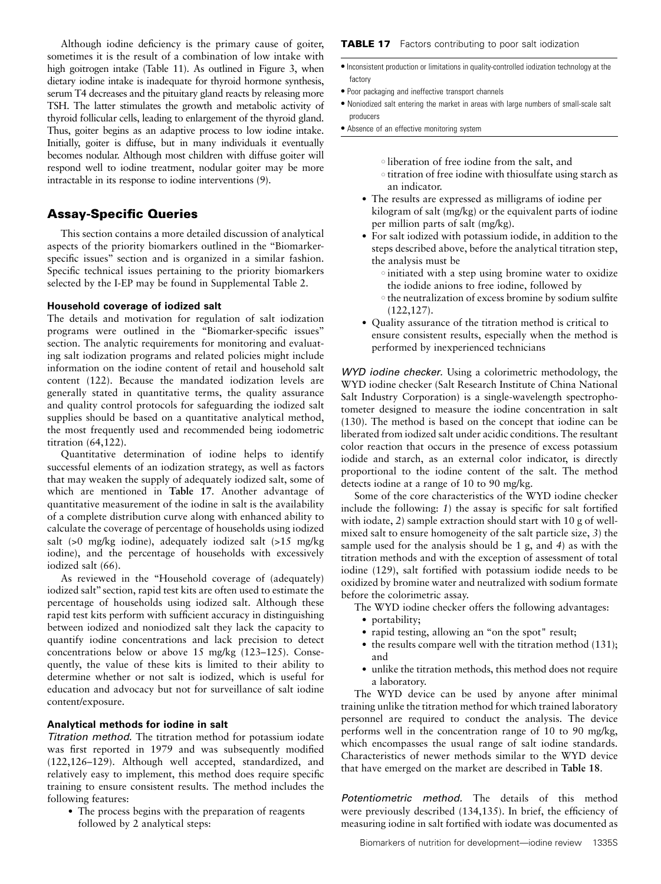Although iodine deficiency is the primary cause of goiter, sometimes it is the result of a combination of low intake with high goitrogen intake (Table 11). As outlined in Figure 3, when dietary iodine intake is inadequate for thyroid hormone synthesis, serum T4 decreases and the pituitary gland reacts by releasing more TSH. The latter stimulates the growth and metabolic activity of thyroid follicular cells, leading to enlargement of the thyroid gland. Thus, goiter begins as an adaptive process to low iodine intake. Initially, goiter is diffuse, but in many individuals it eventually becomes nodular. Although most children with diffuse goiter will respond well to iodine treatment, nodular goiter may be more intractable in its response to iodine interventions (9).

# Assay-Specific Queries

This section contains a more detailed discussion of analytical aspects of the priority biomarkers outlined in the ''Biomarkerspecific issues'' section and is organized in a similar fashion. Specific technical issues pertaining to the priority biomarkers selected by the I-EP may be found in Supplemental Table 2.

# Household coverage of iodized salt

The details and motivation for regulation of salt iodization programs were outlined in the ''Biomarker-specific issues'' section. The analytic requirements for monitoring and evaluating salt iodization programs and related policies might include information on the iodine content of retail and household salt content (122). Because the mandated iodization levels are generally stated in quantitative terms, the quality assurance and quality control protocols for safeguarding the iodized salt supplies should be based on a quantitative analytical method, the most frequently used and recommended being iodometric titration (64,122).

Quantitative determination of iodine helps to identify successful elements of an iodization strategy, as well as factors that may weaken the supply of adequately iodized salt, some of which are mentioned in Table 17. Another advantage of quantitative measurement of the iodine in salt is the availability of a complete distribution curve along with enhanced ability to calculate the coverage of percentage of households using iodized salt (>0 mg/kg iodine), adequately iodized salt (>15 mg/kg iodine), and the percentage of households with excessively iodized salt (66).

As reviewed in the ''Household coverage of (adequately) iodized salt'' section, rapid test kits are often used to estimate the percentage of households using iodized salt. Although these rapid test kits perform with sufficient accuracy in distinguishing between iodized and noniodized salt they lack the capacity to quantify iodine concentrations and lack precision to detect concentrations below or above 15 mg/kg (123–125). Consequently, the value of these kits is limited to their ability to determine whether or not salt is iodized, which is useful for education and advocacy but not for surveillance of salt iodine content/exposure.

# Analytical methods for iodine in salt

Titration method. The titration method for potassium iodate was first reported in 1979 and was subsequently modified (122,126–129). Although well accepted, standardized, and relatively easy to implement, this method does require specific training to ensure consistent results. The method includes the following features:

• The process begins with the preparation of reagents followed by 2 analytical steps:

## **TABLE 17** Factors contributing to poor salt iodization

- <sup>d</sup> Inconsistent production or limitations in quality-controlled iodization technology at the factory
- Poor packaging and ineffective transport channels
- Noniodized salt entering the market in areas with large numbers of small-scale salt producers
- Absence of an effective monitoring system
	- <sup>s</sup> liberation of free iodine from the salt, and
	- <sup>s</sup> titration of free iodine with thiosulfate using starch as an indicator.
	- The results are expressed as milligrams of iodine per kilogram of salt (mg/kg) or the equivalent parts of iodine per million parts of salt (mg/kg).
	- For salt iodized with potassium iodide, in addition to the steps described above, before the analytical titration step, the analysis must be
		- <sup>s</sup> initiated with a step using bromine water to oxidize the iodide anions to free iodine, followed by
		- <sup>s</sup> the neutralization of excess bromine by sodium sulfite (122,127).
	- Quality assurance of the titration method is critical to ensure consistent results, especially when the method is performed by inexperienced technicians

WYD iodine checker. Using a colorimetric methodology, the WYD iodine checker (Salt Research Institute of China National Salt Industry Corporation) is a single-wavelength spectrophotometer designed to measure the iodine concentration in salt (130). The method is based on the concept that iodine can be liberated from iodized salt under acidic conditions. The resultant color reaction that occurs in the presence of excess potassium iodide and starch, as an external color indicator, is directly proportional to the iodine content of the salt. The method detects iodine at a range of 10 to 90 mg/kg.

Some of the core characteristics of the WYD iodine checker include the following: 1) the assay is specific for salt fortified with iodate, 2) sample extraction should start with 10 g of wellmixed salt to ensure homogeneity of the salt particle size, 3) the sample used for the analysis should be 1 g, and 4) as with the titration methods and with the exception of assessment of total iodine (129), salt fortified with potassium iodide needs to be oxidized by bromine water and neutralized with sodium formate before the colorimetric assay.

- The WYD iodine checker offers the following advantages:
	- portability;
	- rapid testing, allowing an "on the spot" result;
	- $\bullet$  the results compare well with the titration method (131); and
	- unlike the titration methods, this method does not require a laboratory.

The WYD device can be used by anyone after minimal training unlike the titration method for which trained laboratory personnel are required to conduct the analysis. The device performs well in the concentration range of 10 to 90 mg/kg, which encompasses the usual range of salt iodine standards. Characteristics of newer methods similar to the WYD device that have emerged on the market are described in Table 18.

Potentiometric method. The details of this method were previously described (134,135). In brief, the efficiency of measuring iodine in salt fortified with iodate was documented as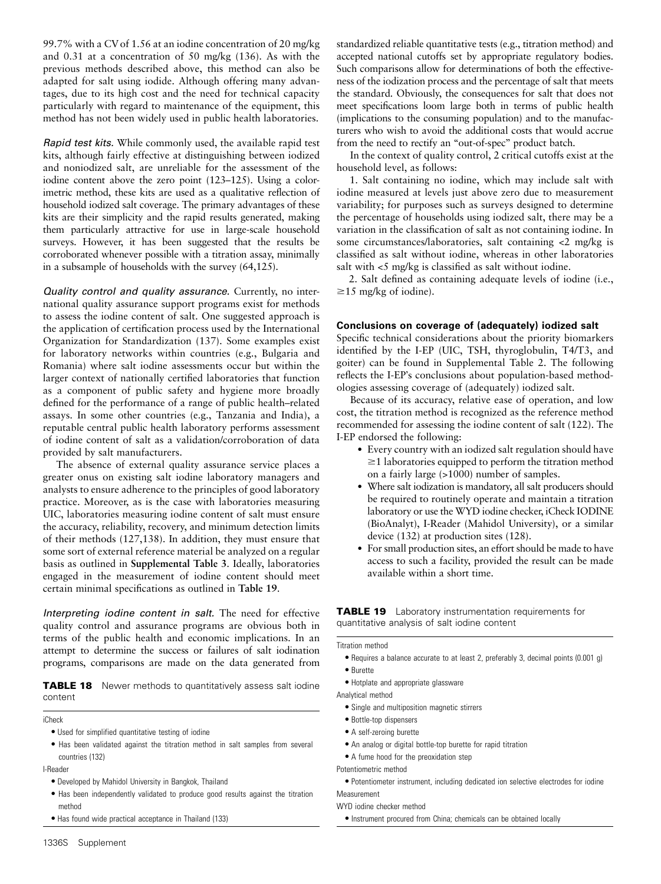99.7% with a CV of 1.56 at an iodine concentration of 20 mg/kg and 0.31 at a concentration of 50 mg/kg (136). As with the previous methods described above, this method can also be adapted for salt using iodide. Although offering many advantages, due to its high cost and the need for technical capacity particularly with regard to maintenance of the equipment, this method has not been widely used in public health laboratories.

Rapid test kits. While commonly used, the available rapid test kits, although fairly effective at distinguishing between iodized and noniodized salt, are unreliable for the assessment of the iodine content above the zero point (123–125). Using a colorimetric method, these kits are used as a qualitative reflection of household iodized salt coverage. The primary advantages of these kits are their simplicity and the rapid results generated, making them particularly attractive for use in large-scale household surveys. However, it has been suggested that the results be corroborated whenever possible with a titration assay, minimally in a subsample of households with the survey (64,125).

Quality control and quality assurance. Currently, no international quality assurance support programs exist for methods to assess the iodine content of salt. One suggested approach is the application of certification process used by the International Organization for Standardization (137). Some examples exist for laboratory networks within countries (e.g., Bulgaria and Romania) where salt iodine assessments occur but within the larger context of nationally certified laboratories that function as a component of public safety and hygiene more broadly defined for the performance of a range of public health–related assays. In some other countries (e.g., Tanzania and India), a reputable central public health laboratory performs assessment of iodine content of salt as a validation/corroboration of data provided by salt manufacturers.

The absence of external quality assurance service places a greater onus on existing salt iodine laboratory managers and analysts to ensure adherence to the principles of good laboratory practice. Moreover, as is the case with laboratories measuring UIC, laboratories measuring iodine content of salt must ensure the accuracy, reliability, recovery, and minimum detection limits of their methods (127,138). In addition, they must ensure that some sort of external reference material be analyzed on a regular basis as outlined in Supplemental Table 3. Ideally, laboratories engaged in the measurement of iodine content should meet certain minimal specifications as outlined in Table 19.

Interpreting iodine content in salt. The need for effective quality control and assurance programs are obvious both in terms of the public health and economic implications. In an attempt to determine the success or failures of salt iodination programs, comparisons are made on the data generated from

**TABLE 18** Newer methods to quantitatively assess salt iodine content

iCheck

 $\bullet$  Used for simplified quantitative testing of iodine

• Has been validated against the titration method in salt samples from several countries (132)

I-Reader

- $\bullet$  Developed by Mahidol University in Bangkok, Thailand
- Has been independently validated to produce good results against the titration method
- Has found wide practical acceptance in Thailand (133)

standardized reliable quantitative tests (e.g., titration method) and accepted national cutoffs set by appropriate regulatory bodies. Such comparisons allow for determinations of both the effectiveness of the iodization process and the percentage of salt that meets the standard. Obviously, the consequences for salt that does not meet specifications loom large both in terms of public health (implications to the consuming population) and to the manufacturers who wish to avoid the additional costs that would accrue from the need to rectify an ''out-of-spec'' product batch.

In the context of quality control, 2 critical cutoffs exist at the household level, as follows:

1. Salt containing no iodine, which may include salt with iodine measured at levels just above zero due to measurement variability; for purposes such as surveys designed to determine the percentage of households using iodized salt, there may be a variation in the classification of salt as not containing iodine. In some circumstances/laboratories, salt containing <2 mg/kg is classified as salt without iodine, whereas in other laboratories salt with <5 mg/kg is classified as salt without iodine.

2. Salt defined as containing adequate levels of iodine (i.e.,  $\geq 15$  mg/kg of iodine).

#### Conclusions on coverage of (adequately) iodized salt

Specific technical considerations about the priority biomarkers identified by the I-EP (UIC, TSH, thyroglobulin, T4/T3, and goiter) can be found in Supplemental Table 2. The following reflects the I-EPs conclusions about population-based methodologies assessing coverage of (adequately) iodized salt.

Because of its accuracy, relative ease of operation, and low cost, the titration method is recognized as the reference method recommended for assessing the iodine content of salt (122). The I-EP endorsed the following:

- Every country with an iodized salt regulation should have  $\geq$ 1 laboratories equipped to perform the titration method on a fairly large (>1000) number of samples.
- Where salt iodization is mandatory, all salt producers should be required to routinely operate and maintain a titration laboratory or use the WYD iodine checker, iCheck IODINE (BioAnalyt), I-Reader (Mahidol University), or a similar device (132) at production sites (128).
- For small production sites, an effort should be made to have access to such a facility, provided the result can be made available within a short time.

**TABLE 19** Laboratory instrumentation requirements for quantitative analysis of salt iodine content

Titration method

- <sup>d</sup> Requires a balance accurate to at least 2, preferably 3, decimal points (0.001 g) <sup>d</sup> Burette
- 
- Hotplate and appropriate glassware
- Analytical method • Single and multiposition magnetic stirrers
	- · Bottle-top dispensers
	- A self-zeroing burette
	- $\bullet$  An analog or digital bottle-top burette for rapid titration
	- A fume hood for the preoxidation step
- Potentiometric method

<sup>d</sup> Potentiometer instrument, including dedicated ion selective electrodes for iodine Measurement

WYD iodine checker method

 $\bullet$  Instrument procured from China; chemicals can be obtained locally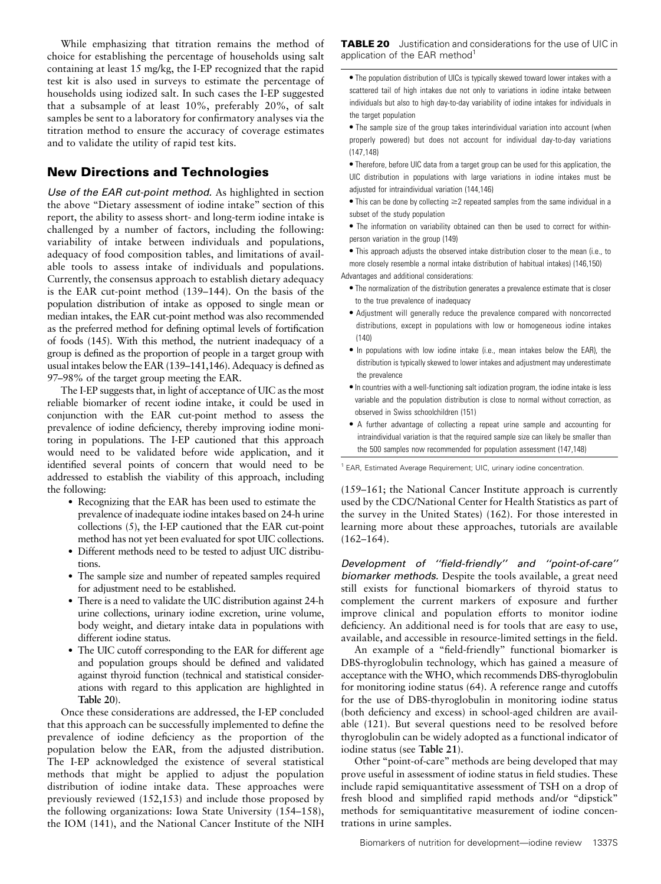While emphasizing that titration remains the method of choice for establishing the percentage of households using salt containing at least 15 mg/kg, the I-EP recognized that the rapid test kit is also used in surveys to estimate the percentage of households using iodized salt. In such cases the I-EP suggested that a subsample of at least 10%, preferably 20%, of salt samples be sent to a laboratory for confirmatory analyses via the titration method to ensure the accuracy of coverage estimates and to validate the utility of rapid test kits.

# New Directions and Technologies

Use of the EAR cut-point method. As highlighted in section the above "Dietary assessment of iodine intake" section of this report, the ability to assess short- and long-term iodine intake is challenged by a number of factors, including the following: variability of intake between individuals and populations, adequacy of food composition tables, and limitations of available tools to assess intake of individuals and populations. Currently, the consensus approach to establish dietary adequacy is the EAR cut-point method (139–144). On the basis of the population distribution of intake as opposed to single mean or median intakes, the EAR cut-point method was also recommended as the preferred method for defining optimal levels of fortification of foods (145). With this method, the nutrient inadequacy of a group is defined as the proportion of people in a target group with usual intakes below the EAR (139–141,146). Adequacy is defined as 97–98% of the target group meeting the EAR.

The I-EP suggests that, in light of acceptance of UIC as the most reliable biomarker of recent iodine intake, it could be used in conjunction with the EAR cut-point method to assess the prevalence of iodine deficiency, thereby improving iodine monitoring in populations. The I-EP cautioned that this approach would need to be validated before wide application, and it identified several points of concern that would need to be addressed to establish the viability of this approach, including the following:

- Recognizing that the EAR has been used to estimate the prevalence of inadequate iodine intakes based on 24-h urine collections (5), the I-EP cautioned that the EAR cut-point method has not yet been evaluated for spot UIC collections.
- Different methods need to be tested to adjust UIC distributions.
- The sample size and number of repeated samples required for adjustment need to be established.
- There is a need to validate the UIC distribution against 24-h urine collections, urinary iodine excretion, urine volume, body weight, and dietary intake data in populations with different iodine status.
- The UIC cutoff corresponding to the EAR for different age and population groups should be defined and validated against thyroid function (technical and statistical considerations with regard to this application are highlighted in Table 20).

Once these considerations are addressed, the I-EP concluded that this approach can be successfully implemented to define the prevalence of iodine deficiency as the proportion of the population below the EAR, from the adjusted distribution. The I-EP acknowledged the existence of several statistical methods that might be applied to adjust the population distribution of iodine intake data. These approaches were previously reviewed (152,153) and include those proposed by the following organizations: Iowa State University (154–158), the IOM (141), and the National Cancer Institute of the NIH

TABLE 20 Justification and considerations for the use of UIC in application of the EAR method<sup>1</sup>

• The population distribution of UICs is typically skewed toward lower intakes with a scattered tail of high intakes due not only to variations in iodine intake between individuals but also to high day-to-day variability of iodine intakes for individuals in the target population

• The sample size of the group takes interindividual variation into account (when properly powered) but does not account for individual day-to-day variations (147,148)

 $\bullet$  Therefore, before UIC data from a target group can be used for this application, the UIC distribution in populations with large variations in iodine intakes must be adjusted for intraindividual variation (144,146)

 $\bullet$  This can be done by collecting  $\geq$  repeated samples from the same individual in a subset of the study population

 $\bullet$  The information on variability obtained can then be used to correct for withinperson variation in the group (149)

• This approach adjusts the observed intake distribution closer to the mean (i.e., to more closely resemble a normal intake distribution of habitual intakes) (146,150) Advantages and additional considerations:

- $\bullet$  The normalization of the distribution generates a prevalence estimate that is closer to the true prevalence of inadequacy
- Adjustment will generally reduce the prevalence compared with noncorrected distributions, except in populations with low or homogeneous iodine intakes (140)
- $\bullet$  In populations with low iodine intake (i.e., mean intakes below the EAR), the distribution is typically skewed to lower intakes and adjustment may underestimate the prevalence
- $\bullet$  In countries with a well-functioning salt iodization program, the iodine intake is less variable and the population distribution is close to normal without correction, as observed in Swiss schoolchildren (151)
- A further advantage of collecting a repeat urine sample and accounting for intraindividual variation is that the required sample size can likely be smaller than the 500 samples now recommended for population assessment (147,148)

<sup>1</sup> EAR, Estimated Average Requirement; UIC, urinary iodine concentration.

(159–161; the National Cancer Institute approach is currently used by the CDC/National Center for Health Statistics as part of the survey in the United States) (162). For those interested in learning more about these approaches, tutorials are available  $(162 - 164)$ .

Development of ''field-friendly'' and ''point-of-care'' biomarker methods. Despite the tools available, a great need still exists for functional biomarkers of thyroid status to complement the current markers of exposure and further improve clinical and population efforts to monitor iodine deficiency. An additional need is for tools that are easy to use, available, and accessible in resource-limited settings in the field.

An example of a ''field-friendly'' functional biomarker is DBS-thyroglobulin technology, which has gained a measure of acceptance with the WHO, which recommends DBS-thyroglobulin for monitoring iodine status (64). A reference range and cutoffs for the use of DBS-thyroglobulin in monitoring iodine status (both deficiency and excess) in school-aged children are available (121). But several questions need to be resolved before thyroglobulin can be widely adopted as a functional indicator of iodine status (see Table 21).

Other ''point-of-care'' methods are being developed that may prove useful in assessment of iodine status in field studies. These include rapid semiquantitative assessment of TSH on a drop of fresh blood and simplified rapid methods and/or ''dipstick'' methods for semiquantitative measurement of iodine concentrations in urine samples.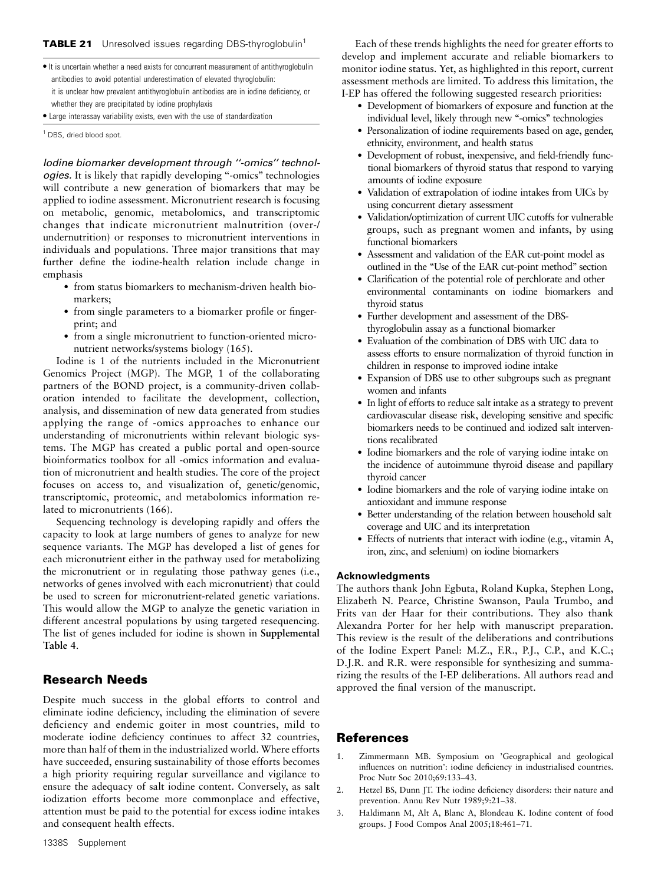#### TABLE 21 Unresolved issues regarding DBS-thyroglobulin<sup>1</sup>

 $\bullet$  It is uncertain whether a need exists for concurrent measurement of antithyroglobulin antibodies to avoid potential underestimation of elevated thyroglobulin: it is unclear how prevalent antithyroglobulin antibodies are in iodine deficiency, or whether they are precipitated by iodine prophylaxis

• Large interassay variability exists, even with the use of standardization

<sup>1</sup> DBS, dried blood spot.

Iodine biomarker development through ''-omics'' technologies. It is likely that rapidly developing ''-omics'' technologies will contribute a new generation of biomarkers that may be applied to iodine assessment. Micronutrient research is focusing on metabolic, genomic, metabolomics, and transcriptomic changes that indicate micronutrient malnutrition (over-/ undernutrition) or responses to micronutrient interventions in individuals and populations. Three major transitions that may further define the iodine-health relation include change in emphasis

- from status biomarkers to mechanism-driven health biomarkers;
- from single parameters to a biomarker profile or fingerprint; and
- from a single micronutrient to function-oriented micronutrient networks/systems biology (165).

Iodine is 1 of the nutrients included in the Micronutrient Genomics Project (MGP). The MGP, 1 of the collaborating partners of the BOND project, is a community-driven collaboration intended to facilitate the development, collection, analysis, and dissemination of new data generated from studies applying the range of -omics approaches to enhance our understanding of micronutrients within relevant biologic systems. The MGP has created a public portal and open-source bioinformatics toolbox for all -omics information and evaluation of micronutrient and health studies. The core of the project focuses on access to, and visualization of, genetic/genomic, transcriptomic, proteomic, and metabolomics information related to micronutrients (166).

Sequencing technology is developing rapidly and offers the capacity to look at large numbers of genes to analyze for new sequence variants. The MGP has developed a list of genes for each micronutrient either in the pathway used for metabolizing the micronutrient or in regulating those pathway genes (i.e., networks of genes involved with each micronutrient) that could be used to screen for micronutrient-related genetic variations. This would allow the MGP to analyze the genetic variation in different ancestral populations by using targeted resequencing. The list of genes included for iodine is shown in Supplemental Table 4.

# Research Needs

Despite much success in the global efforts to control and eliminate iodine deficiency, including the elimination of severe deficiency and endemic goiter in most countries, mild to moderate iodine deficiency continues to affect 32 countries, more than half of them in the industrialized world. Where efforts have succeeded, ensuring sustainability of those efforts becomes a high priority requiring regular surveillance and vigilance to ensure the adequacy of salt iodine content. Conversely, as salt iodization efforts become more commonplace and effective, attention must be paid to the potential for excess iodine intakes and consequent health effects.

Each of these trends highlights the need for greater efforts to develop and implement accurate and reliable biomarkers to monitor iodine status. Yet, as highlighted in this report, current assessment methods are limited. To address this limitation, the I-EP has offered the following suggested research priorities:

- Development of biomarkers of exposure and function at the individual level, likely through new "-omics" technologies
- Personalization of iodine requirements based on age, gender, ethnicity, environment, and health status
- Development of robust, inexpensive, and field-friendly functional biomarkers of thyroid status that respond to varying amounts of iodine exposure
- Validation of extrapolation of iodine intakes from UICs by using concurrent dietary assessment
- Validation/optimization of current UIC cutoffs for vulnerable groups, such as pregnant women and infants, by using functional biomarkers
- Assessment and validation of the EAR cut-point model as outlined in the ''Use of the EAR cut-point method'' section
- Clarification of the potential role of perchlorate and other environmental contaminants on iodine biomarkers and thyroid status
- Further development and assessment of the DBSthyroglobulin assay as a functional biomarker
- Evaluation of the combination of DBS with UIC data to assess efforts to ensure normalization of thyroid function in children in response to improved iodine intake
- Expansion of DBS use to other subgroups such as pregnant women and infants
- In light of efforts to reduce salt intake as a strategy to prevent cardiovascular disease risk, developing sensitive and specific biomarkers needs to be continued and iodized salt interventions recalibrated
- Iodine biomarkers and the role of varying iodine intake on the incidence of autoimmune thyroid disease and papillary thyroid cancer
- Iodine biomarkers and the role of varying iodine intake on antioxidant and immune response
- Better understanding of the relation between household salt coverage and UIC and its interpretation
- Effects of nutrients that interact with iodine (e.g., vitamin A, iron, zinc, and selenium) on iodine biomarkers

#### Acknowledgments

The authors thank John Egbuta, Roland Kupka, Stephen Long, Elizabeth N. Pearce, Christine Swanson, Paula Trumbo, and Frits van der Haar for their contributions. They also thank Alexandra Porter for her help with manuscript preparation. This review is the result of the deliberations and contributions of the Iodine Expert Panel: M.Z., F.R., P.J., C.P., and K.C.; D.J.R. and R.R. were responsible for synthesizing and summarizing the results of the I-EP deliberations. All authors read and approved the final version of the manuscript.

# References

- 1. Zimmermann MB. Symposium on 'Geographical and geological influences on nutrition': iodine deficiency in industrialised countries. Proc Nutr Soc 2010;69:133–43.
- 2. Hetzel BS, Dunn JT. The iodine deficiency disorders: their nature and prevention. Annu Rev Nutr 1989;9:21–38.
- 3. Haldimann M, Alt A, Blanc A, Blondeau K. Iodine content of food groups. J Food Compos Anal 2005;18:461–71.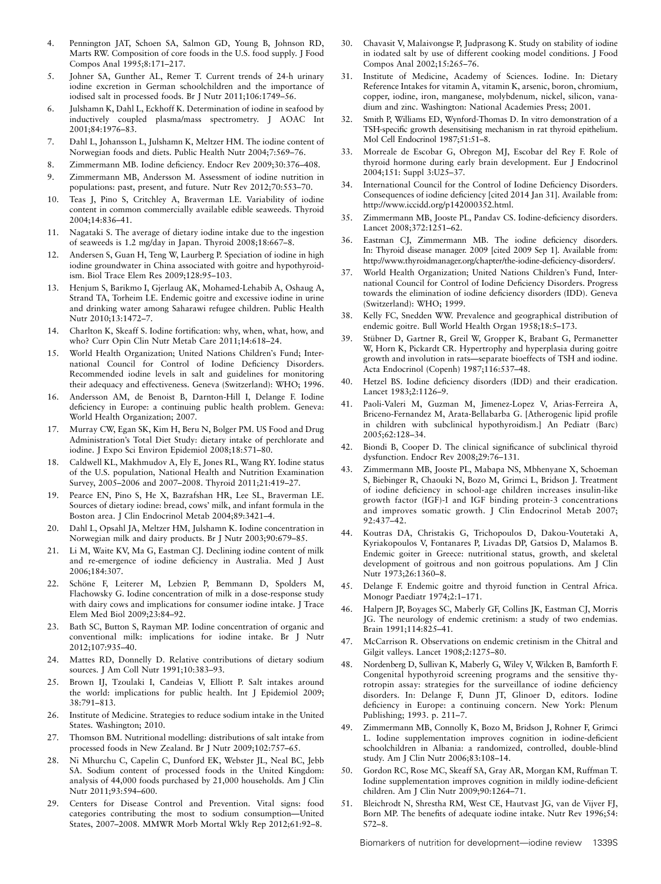- 4. Pennington JAT, Schoen SA, Salmon GD, Young B, Johnson RD, Marts RW. Composition of core foods in the U.S. food supply. J Food Compos Anal 1995;8:171–217.
- 5. Johner SA, Gunther AL, Remer T. Current trends of 24-h urinary iodine excretion in German schoolchildren and the importance of iodised salt in processed foods. Br J Nutr 2011;106:1749–56.
- 6. Julshamn K, Dahl L, Eckhoff K. Determination of iodine in seafood by inductively coupled plasma/mass spectrometry. J AOAC Int 2001;84:1976–83.
- 7. Dahl L, Johansson L, Julshamn K, Meltzer HM. The iodine content of Norwegian foods and diets. Public Health Nutr 2004;7:569–76.
- 8. Zimmermann MB. Iodine deficiency. Endocr Rev 2009;30:376–408.
- 9. Zimmermann MB, Andersson M. Assessment of iodine nutrition in populations: past, present, and future. Nutr Rev 2012;70:553–70.
- 10. Teas J, Pino S, Critchley A, Braverman LE. Variability of iodine content in common commercially available edible seaweeds. Thyroid 2004;14:836–41.
- 11. Nagataki S. The average of dietary iodine intake due to the ingestion of seaweeds is 1.2 mg/day in Japan. Thyroid 2008;18:667–8.
- 12. Andersen S, Guan H, Teng W, Laurberg P. Speciation of iodine in high iodine groundwater in China associated with goitre and hypothyroidism. Biol Trace Elem Res 2009;128:95–103.
- 13. Henjum S, Barikmo I, Gjerlaug AK, Mohamed-Lehabib A, Oshaug A, Strand TA, Torheim LE. Endemic goitre and excessive iodine in urine and drinking water among Saharawi refugee children. Public Health Nutr 2010;13:1472–7.
- 14. Charlton K, Skeaff S. Iodine fortification: why, when, what, how, and who? Curr Opin Clin Nutr Metab Care 2011;14:618–24.
- 15. World Health Organization; United Nations Children's Fund; International Council for Control of Iodine Deficiency Disorders. Recommended iodine levels in salt and guidelines for monitoring their adequacy and effectiveness. Geneva (Switzerland): WHO; 1996.
- 16. Andersson AM, de Benoist B, Darnton-Hill I, Delange F. Iodine deficiency in Europe: a continuing public health problem. Geneva: World Health Organization; 2007.
- 17. Murray CW, Egan SK, Kim H, Beru N, Bolger PM. US Food and Drug Administration's Total Diet Study: dietary intake of perchlorate and iodine. J Expo Sci Environ Epidemiol 2008;18:571–80.
- 18. Caldwell KL, Makhmudov A, Ely E, Jones RL, Wang RY. Iodine status of the U.S. population, National Health and Nutrition Examination Survey, 2005–2006 and 2007–2008. Thyroid 2011;21:419–27.
- 19. Pearce EN, Pino S, He X, Bazrafshan HR, Lee SL, Braverman LE. Sources of dietary iodine: bread, cows' milk, and infant formula in the Boston area. J Clin Endocrinol Metab 2004;89:3421–4.
- 20. Dahl L, Opsahl JA, Meltzer HM, Julshamn K. Iodine concentration in Norwegian milk and dairy products. Br J Nutr 2003;90:679–85.
- 21. Li M, Waite KV, Ma G, Eastman CJ. Declining iodine content of milk and re-emergence of iodine deficiency in Australia. Med J Aust 2006;184:307.
- 22. Schöne F, Leiterer M, Lebzien P, Bemmann D, Spolders M, Flachowsky G. Iodine concentration of milk in a dose-response study with dairy cows and implications for consumer iodine intake. J Trace Elem Med Biol 2009;23:84–92.
- 23. Bath SC, Button S, Rayman MP. Iodine concentration of organic and conventional milk: implications for iodine intake. Br J Nutr 2012;107:935–40.
- 24. Mattes RD, Donnelly D. Relative contributions of dietary sodium sources. J Am Coll Nutr 1991;10:383–93.
- 25. Brown IJ, Tzoulaki I, Candeias V, Elliott P. Salt intakes around the world: implications for public health. Int J Epidemiol 2009; 38:791–813.
- 26. Institute of Medicine. Strategies to reduce sodium intake in the United States. Washington; 2010.
- 27. Thomson BM. Nutritional modelling: distributions of salt intake from processed foods in New Zealand. Br J Nutr 2009;102:757–65.
- 28. Ni Mhurchu C, Capelin C, Dunford EK, Webster JL, Neal BC, Jebb SA. Sodium content of processed foods in the United Kingdom: analysis of 44,000 foods purchased by 21,000 households. Am J Clin Nutr 2011;93:594–600.
- 29. Centers for Disease Control and Prevention. Vital signs: food categories contributing the most to sodium consumption—United States, 2007–2008. MMWR Morb Mortal Wkly Rep 2012;61:92–8.
- 30. Chavasit V, Malaivongse P, Judprasong K. Study on stability of iodine in iodated salt by use of different cooking model conditions. J Food Compos Anal 2002;15:265–76.
- 31. Institute of Medicine, Academy of Sciences. Iodine. In: Dietary Reference Intakes for vitamin A, vitamin K, arsenic, boron, chromium, copper, iodine, iron, manganese, molybdenum, nickel, silicon, vanadium and zinc. Washington: National Academies Press; 2001.
- 32. Smith P, Williams ED, Wynford-Thomas D. In vitro demonstration of a TSH-specific growth desensitising mechanism in rat thyroid epithelium. Mol Cell Endocrinol 1987;51:51–8.
- 33. Morreale de Escobar G, Obregon MJ, Escobar del Rey F. Role of thyroid hormone during early brain development. Eur J Endocrinol 2004;151: Suppl 3:U25–37.
- 34. International Council for the Control of Iodine Deficiency Disorders. Consequences of iodine deficiency [cited 2014 Jan 31]. Available from: http://www.iccidd.org/p142000352.html.
- 35. Zimmermann MB, Jooste PL, Pandav CS. Iodine-deficiency disorders. Lancet 2008;372:1251–62.
- 36. Eastman CJ, Zimmermann MB. The iodine deficiency disorders. In: Thyroid disease manager. 2009 [cited 2009 Sep 1]. Available from: http://www.thyroidmanager.org/chapter/the-iodine-deficiency-disorders/.
- 37. World Health Organization; United Nations Children's Fund, International Council for Control of Iodine Deficiency Disorders. Progress towards the elimination of iodine deficiency disorders (IDD). Geneva (Switzerland): WHO; 1999.
- 38. Kelly FC, Snedden WW. Prevalence and geographical distribution of endemic goitre. Bull World Health Organ 1958;18:5–173.
- 39. Stübner D, Gartner R, Greil W, Gropper K, Brabant G, Permanetter W, Horn K, Pickardt CR. Hypertrophy and hyperplasia during goitre growth and involution in rats—separate bioeffects of TSH and iodine. Acta Endocrinol (Copenh) 1987;116:537–48.
- 40. Hetzel BS. Iodine deficiency disorders (IDD) and their eradication. Lancet 1983;2:1126–9.
- 41. Paoli-Valeri M, Guzman M, Jimenez-Lopez V, Arias-Ferreira A, Briceno-Fernandez M, Arata-Bellabarba G. [Atherogenic lipid profile in children with subclinical hypothyroidism.] An Pediatr (Barc) 2005;62:128–34.
- 42. Biondi B, Cooper D. The clinical significance of subclinical thyroid dysfunction. Endocr Rev 2008;29:76–131.
- 43. Zimmermann MB, Jooste PL, Mabapa NS, Mbhenyane X, Schoeman S, Biebinger R, Chaouki N, Bozo M, Grimci L, Bridson J. Treatment of iodine deficiency in school-age children increases insulin-like growth factor (IGF)-I and IGF binding protein-3 concentrations and improves somatic growth. J Clin Endocrinol Metab 2007; 92:437–42.
- 44. Koutras DA, Christakis G, Trichopoulos D, Dakou-Voutetaki A, Kyriakopoulos V, Fontanares P, Livadas DP, Gatsios D, Malamos B. Endemic goiter in Greece: nutritional status, growth, and skeletal development of goitrous and non goitrous populations. Am J Clin Nutr 1973;26:1360–8.
- 45. Delange F. Endemic goitre and thyroid function in Central Africa. Monogr Paediatr 1974;2:1–171.
- 46. Halpern JP, Boyages SC, Maberly GF, Collins JK, Eastman CJ, Morris JG. The neurology of endemic cretinism: a study of two endemias. Brain 1991;114:825–41.
- 47. McCarrison R. Observations on endemic cretinism in the Chitral and Gilgit valleys. Lancet 1908;2:1275–80.
- 48. Nordenberg D, Sullivan K, Maberly G, Wiley V, Wilcken B, Bamforth F. Congenital hypothyroid screening programs and the sensitive thyrotropin assay: strategies for the surveillance of iodine deficiency disorders. In: Delange F, Dunn JT, Glinoer D, editors. Iodine deficiency in Europe: a continuing concern. New York: Plenum Publishing; 1993. p. 211–7.
- 49. Zimmermann MB, Connolly K, Bozo M, Bridson J, Rohner F, Grimci L. Iodine supplementation improves cognition in iodine-deficient schoolchildren in Albania: a randomized, controlled, double-blind study. Am J Clin Nutr 2006;83:108–14.
- 50. Gordon RC, Rose MC, Skeaff SA, Gray AR, Morgan KM, Ruffman T. Iodine supplementation improves cognition in mildly iodine-deficient children. Am J Clin Nutr 2009;90:1264–71.
- 51. Bleichrodt N, Shrestha RM, West CE, Hautvast JG, van de Vijver FJ, Born MP. The benefits of adequate iodine intake. Nutr Rev 1996;54: S72–8.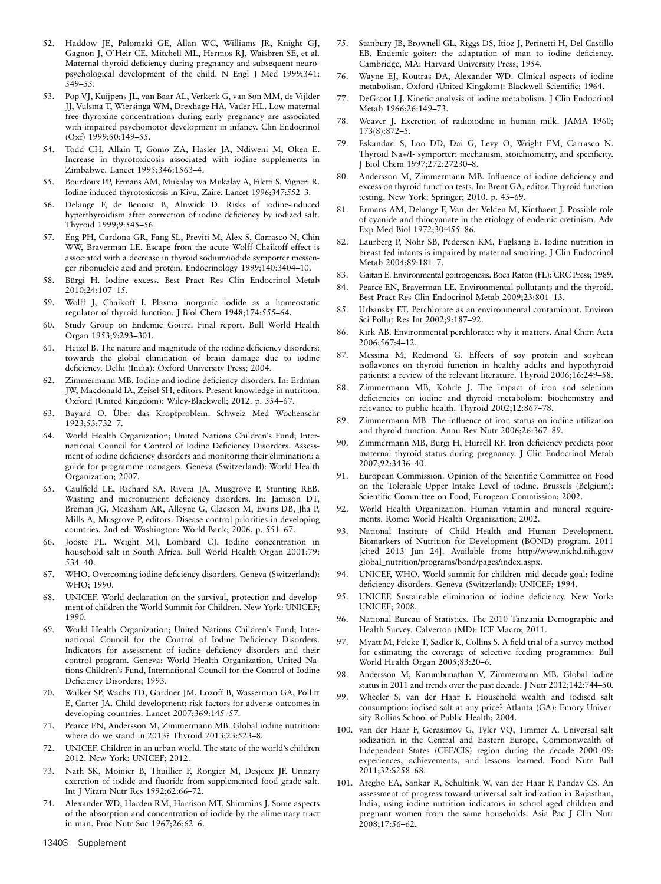- 52. Haddow JE, Palomaki GE, Allan WC, Williams JR, Knight GJ, Gagnon J, O'Heir CE, Mitchell ML, Hermos RJ, Waisbren SE, et al. Maternal thyroid deficiency during pregnancy and subsequent neuropsychological development of the child. N Engl J Med 1999;341: 549–55.
- 53. Pop VJ, Kuijpens JL, van Baar AL, Verkerk G, van Son MM, de Vijlder JJ, Vulsma T, Wiersinga WM, Drexhage HA, Vader HL. Low maternal free thyroxine concentrations during early pregnancy are associated with impaired psychomotor development in infancy. Clin Endocrinol (Oxf) 1999;50:149–55.
- 54. Todd CH, Allain T, Gomo ZA, Hasler JA, Ndiweni M, Oken E. Increase in thyrotoxicosis associated with iodine supplements in Zimbabwe. Lancet 1995;346:1563–4.
- 55. Bourdoux PP, Ermans AM, Mukalay wa Mukalay A, Filetti S, Vigneri R. Iodine-induced thyrotoxicosis in Kivu, Zaire. Lancet 1996;347:552–3.
- 56. Delange F, de Benoist B, Alnwick D. Risks of iodine-induced hyperthyroidism after correction of iodine deficiency by iodized salt. Thyroid 1999;9:545–56.
- 57. Eng PH, Cardona GR, Fang SL, Previti M, Alex S, Carrasco N, Chin WW, Braverman LE. Escape from the acute Wolff-Chaikoff effect is associated with a decrease in thyroid sodium/iodide symporter messenger ribonucleic acid and protein. Endocrinology 1999;140:3404–10.
- 58. Bürgi H. Iodine excess. Best Pract Res Clin Endocrinol Metab 2010;24:107–15.
- 59. Wolff J, Chaikoff I. Plasma inorganic iodide as a homeostatic regulator of thyroid function. J Biol Chem 1948;174:555–64.
- 60. Study Group on Endemic Goitre. Final report. Bull World Health Organ 1953;9:293–301.
- 61. Hetzel B. The nature and magnitude of the iodine deficiency disorders: towards the global elimination of brain damage due to iodine deficiency. Delhi (India): Oxford University Press; 2004.
- 62. Zimmermann MB. Iodine and iodine deficiency disorders. In: Erdman JW, Macdonald IA, Zeisel SH, editors. Present knowledge in nutrition. Oxford (United Kingdom): Wiley-Blackwell; 2012. p. 554–67.
- 63. Bayard O. Über das Kropfproblem. Schweiz Med Wochenschr 1923;53:732–7.
- 64. World Health Organization; United Nations Children's Fund; International Council for Control of Iodine Deficiency Disorders. Assessment of iodine deficiency disorders and monitoring their elimination: a guide for programme managers. Geneva (Switzerland): World Health Organization; 2007.
- 65. Caulfield LE, Richard SA, Rivera JA, Musgrove P, Stunting REB. Wasting and micronutrient deficiency disorders. In: Jamison DT, Breman JG, Measham AR, Alleyne G, Claeson M, Evans DB, Jha P, Mills A, Musgrove P, editors. Disease control priorities in developing countries. 2nd ed. Washington: World Bank; 2006, p. 551–67.
- 66. Jooste PL, Weight MJ, Lombard CJ. Iodine concentration in household salt in South Africa. Bull World Health Organ 2001;79: 534–40.
- 67. WHO. Overcoming iodine deficiency disorders. Geneva (Switzerland): WHO; 1990.
- 68. UNICEF. World declaration on the survival, protection and development of children the World Summit for Children. New York: UNICEF; 1990.
- 69. World Health Organization; United Nations Children's Fund; International Council for the Control of Iodine Deficiency Disorders. Indicators for assessment of iodine deficiency disorders and their control program. Geneva: World Health Organization, United Nations Children's Fund, International Council for the Control of Iodine Deficiency Disorders; 1993.
- 70. Walker SP, Wachs TD, Gardner JM, Lozoff B, Wasserman GA, Pollitt E, Carter JA. Child development: risk factors for adverse outcomes in developing countries. Lancet 2007;369:145–57.
- 71. Pearce EN, Andersson M, Zimmermann MB. Global iodine nutrition: where do we stand in 2013? Thyroid 2013;23:523–8.
- 72. UNICEF. Children in an urban world. The state of the world's children 2012. New York: UNICEF; 2012.
- Nath SK, Moinier B, Thuillier F, Rongier M, Desjeux JF. Urinary excretion of iodide and fluoride from supplemented food grade salt. Int J Vitam Nutr Res 1992;62:66–72.
- 74. Alexander WD, Harden RM, Harrison MT, Shimmins J. Some aspects of the absorption and concentration of iodide by the alimentary tract in man. Proc Nutr Soc 1967;26:62–6.
- 75. Stanbury JB, Brownell GL, Riggs DS, Itioz J, Perinetti H, Del Castillo EB. Endemic goiter: the adaptation of man to iodine deficiency. Cambridge, MA: Harvard University Press; 1954.
- 76. Wayne EJ, Koutras DA, Alexander WD. Clinical aspects of iodine metabolism. Oxford (United Kingdom): Blackwell Scientific; 1964.
- 77. DeGroot LJ. Kinetic analysis of iodine metabolism. J Clin Endocrinol Metab 1966;26:149–73.
- 78. Weaver J. Excretion of radioiodine in human milk. JAMA 1960; 173(8):872–5.
- 79. Eskandari S, Loo DD, Dai G, Levy O, Wright EM, Carrasco N. Thyroid Na+/I- symporter: mechanism, stoichiometry, and specificity. J Biol Chem 1997;272:27230–8.
- 80. Andersson M, Zimmermann MB. Influence of iodine deficiency and excess on thyroid function tests. In: Brent GA, editor. Thyroid function testing. New York: Springer; 2010. p. 45–69.
- 81. Ermans AM, Delange F, Van der Velden M, Kinthaert J. Possible role of cyanide and thiocyanate in the etiology of endemic cretinism. Adv Exp Med Biol 1972;30:455–86.
- 82. Laurberg P, Nohr SB, Pedersen KM, Fuglsang E. Iodine nutrition in breast-fed infants is impaired by maternal smoking. J Clin Endocrinol Metab 2004;89:181–7.
- 83. Gaitan E. Environmental goitrogenesis. Boca Raton (FL): CRC Press; 1989.
- 84. Pearce EN, Braverman LE. Environmental pollutants and the thyroid. Best Pract Res Clin Endocrinol Metab 2009;23:801–13.
- 85. Urbansky ET. Perchlorate as an environmental contaminant. Environ Sci Pollut Res Int 2002;9:187–92.
- 86. Kirk AB. Environmental perchlorate: why it matters. Anal Chim Acta 2006;567:4–12.
- 87. Messina M, Redmond G. Effects of soy protein and soybean isoflavones on thyroid function in healthy adults and hypothyroid patients: a review of the relevant literature. Thyroid 2006;16:249–58.
- 88. Zimmermann MB, Kohrle J. The impact of iron and selenium deficiencies on iodine and thyroid metabolism: biochemistry and relevance to public health. Thyroid 2002;12:867–78.
- 89. Zimmermann MB. The influence of iron status on iodine utilization and thyroid function. Annu Rev Nutr 2006;26:367–89.
- 90. Zimmermann MB, Burgi H, Hurrell RF. Iron deficiency predicts poor maternal thyroid status during pregnancy. J Clin Endocrinol Metab 2007;92:3436–40.
- 91. European Commission. Opinion of the Scientific Committee on Food on the Tolerable Upper Intake Level of iodine. Brussels (Belgium): Scientific Committee on Food, European Commission; 2002.
- 92. World Health Organization. Human vitamin and mineral requirements. Rome: World Health Organization; 2002.
- 93. National Institute of Child Health and Human Development. Biomarkers of Nutrition for Development (BOND) program. 2011 [cited 2013 Jun 24]. Available from: http://www.nichd.nih.gov/ global\_nutrition/programs/bond/pages/index.aspx.
- 94. UNICEF, WHO. World summit for children–mid-decade goal: Iodine deficiency disorders. Geneva (Switzerland): UNICEF; 1994.
- 95. UNICEF. Sustainable elimination of iodine deficiency. New York: UNICEF; 2008.
- 96. National Bureau of Statistics. The 2010 Tanzania Demographic and Health Survey. Calverton (MD): ICF Macro; 2011.
- 97. Myatt M, Feleke T, Sadler K, Collins S. A field trial of a survey method for estimating the coverage of selective feeding programmes. Bull World Health Organ 2005;83:20–6.
- 98. Andersson M, Karumbunathan V, Zimmermann MB. Global iodine status in 2011 and trends over the past decade. J Nutr 2012;142:744–50.
- 99. Wheeler S, van der Haar F. Household wealth and iodised salt consumption: iodised salt at any price? Atlanta (GA): Emory University Rollins School of Public Health; 2004.
- 100. van der Haar F, Gerasimov G, Tyler VQ, Timmer A. Universal salt iodization in the Central and Eastern Europe, Commonwealth of Independent States (CEE/CIS) region during the decade 2000–09: experiences, achievements, and lessons learned. Food Nutr Bull 2011;32:S258–68.
- 101. Ategbo EA, Sankar R, Schultink W, van der Haar F, Pandav CS. An assessment of progress toward universal salt iodization in Rajasthan, India, using iodine nutrition indicators in school-aged children and pregnant women from the same households. Asia Pac J Clin Nutr 2008;17:56–62.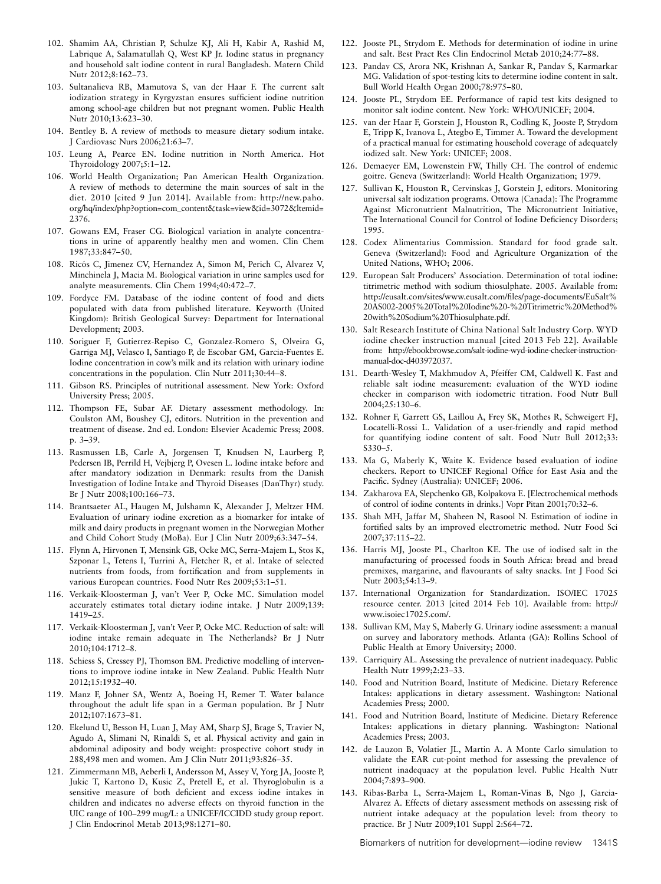- 102. Shamim AA, Christian P, Schulze KJ, Ali H, Kabir A, Rashid M, Labrique A, Salamatullah Q, West KP Jr. Iodine status in pregnancy and household salt iodine content in rural Bangladesh. Matern Child Nutr 2012;8:162–73.
- 103. Sultanalieva RB, Mamutova S, van der Haar F. The current salt iodization strategy in Kyrgyzstan ensures sufficient iodine nutrition among school-age children but not pregnant women. Public Health Nutr 2010;13:623–30.
- 104. Bentley B. A review of methods to measure dietary sodium intake. J Cardiovasc Nurs 2006;21:63–7.
- 105. Leung A, Pearce EN. Iodine nutrition in North America. Hot Thyroidology 2007;5:1–12.
- 106. World Health Organization; Pan American Health Organization. A review of methods to determine the main sources of salt in the diet. 2010 [cited 9 Jun 2014]. Available from: http://new.paho. org/hq/index/php?option=com\_content&task=view&id=3072&ltemid= 2376.
- 107. Gowans EM, Fraser CG. Biological variation in analyte concentrations in urine of apparently healthy men and women. Clin Chem 1987;33:847–50.
- 108. Ricós C, Jimenez CV, Hernandez A, Simon M, Perich C, Alvarez V, Minchinela J, Macia M. Biological variation in urine samples used for analyte measurements. Clin Chem 1994;40:472–7.
- 109. Fordyce FM. Database of the iodine content of food and diets populated with data from published literature. Keyworth (United Kingdom): British Geological Survey: Department for International Development; 2003.
- 110. Soriguer F, Gutierrez-Repiso C, Gonzalez-Romero S, Olveira G, Garriga MJ, Velasco I, Santiago P, de Escobar GM, Garcia-Fuentes E. Iodine concentration in cow's milk and its relation with urinary iodine concentrations in the population. Clin Nutr 2011;30:44–8.
- 111. Gibson RS. Principles of nutritional assessment. New York: Oxford University Press; 2005.
- 112. Thompson FE, Subar AF. Dietary assessment methodology. In: Coulston AM, Boushey CJ, editors. Nutrition in the prevention and treatment of disease. 2nd ed. London: Elsevier Academic Press; 2008. p. 3–39.
- 113. Rasmussen LB, Carle A, Jorgensen T, Knudsen N, Laurberg P, Pedersen IB, Perrild H, Vejbjerg P, Ovesen L. Iodine intake before and after mandatory iodization in Denmark: results from the Danish Investigation of Iodine Intake and Thyroid Diseases (DanThyr) study. Br J Nutr 2008;100:166–73.
- 114. Brantsaeter AL, Haugen M, Julshamn K, Alexander J, Meltzer HM. Evaluation of urinary iodine excretion as a biomarker for intake of milk and dairy products in pregnant women in the Norwegian Mother and Child Cohort Study (MoBa). Eur J Clin Nutr 2009;63:347–54.
- 115. Flynn A, Hirvonen T, Mensink GB, Ocke MC, Serra-Majem L, Stos K, Szponar L, Tetens I, Turrini A, Fletcher R, et al. Intake of selected nutrients from foods, from fortification and from supplements in various European countries. Food Nutr Res 2009;53:1–51.
- 116. Verkaik-Kloosterman J, van't Veer P, Ocke MC. Simulation model accurately estimates total dietary iodine intake. J Nutr 2009;139: 1419–25.
- 117. Verkaik-Kloosterman J, van't Veer P, Ocke MC. Reduction of salt: will iodine intake remain adequate in The Netherlands? Br J Nutr 2010;104:1712–8.
- 118. Schiess S, Cressey PJ, Thomson BM. Predictive modelling of interventions to improve iodine intake in New Zealand. Public Health Nutr 2012;15:1932–40.
- 119. Manz F, Johner SA, Wentz A, Boeing H, Remer T. Water balance throughout the adult life span in a German population. Br J Nutr 2012;107:1673–81.
- 120. Ekelund U, Besson H, Luan J, May AM, Sharp SJ, Brage S, Travier N, Agudo A, Slimani N, Rinaldi S, et al. Physical activity and gain in abdominal adiposity and body weight: prospective cohort study in 288,498 men and women. Am J Clin Nutr 2011;93:826–35.
- 121. Zimmermann MB, Aeberli I, Andersson M, Assey V, Yorg JA, Jooste P, Jukic T, Kartono D, Kusic Z, Pretell E, et al. Thyroglobulin is a sensitive measure of both deficient and excess iodine intakes in children and indicates no adverse effects on thyroid function in the UIC range of 100–299 mug/L: a UNICEF/ICCIDD study group report. J Clin Endocrinol Metab 2013;98:1271–80.
- 122. Jooste PL, Strydom E. Methods for determination of iodine in urine and salt. Best Pract Res Clin Endocrinol Metab 2010;24:77–88.
- 123. Pandav CS, Arora NK, Krishnan A, Sankar R, Pandav S, Karmarkar MG. Validation of spot-testing kits to determine iodine content in salt. Bull World Health Organ 2000;78:975–80.
- 124. Jooste PL, Strydom EE. Performance of rapid test kits designed to monitor salt iodine content. New York: WHO/UNICEF; 2004.
- 125. van der Haar F, Gorstein J, Houston R, Codling K, Jooste P, Strydom E, Tripp K, Ivanova L, Ategbo E, Timmer A. Toward the development of a practical manual for estimating household coverage of adequately iodized salt. New York: UNICEF; 2008.
- 126. Demaeyer EM, Lowenstein FW, Thilly CH. The control of endemic goitre. Geneva (Switzerland): World Health Organization; 1979.
- 127. Sullivan K, Houston R, Cervinskas J, Gorstein J, editors. Monitoring universal salt iodization programs. Ottowa (Canada): The Programme Against Micronutrient Malnutrition, The Micronutrient Initiative, The International Council for Control of Iodine Deficiency Disorders; 1995.
- 128. Codex Alimentarius Commission. Standard for food grade salt. Geneva (Switzerland): Food and Agriculture Organization of the United Nations, WHO; 2006.
- 129. European Salt Producers' Association. Determination of total iodine: titrimetric method with sodium thiosulphate. 2005. Available from: http://eusalt.com/sites/www.eusalt.com/files/page-documents/EuSalt% 20AS002-2005%20Total%20Iodine%20-%20Titrimetric%20Method% 20with%20Sodium%20Thiosulphate.pdf.
- 130. Salt Research Institute of China National Salt Industry Corp. WYD iodine checker instruction manual [cited 2013 Feb 22]. Available from: http://ebookbrowse.com/salt-iodine-wyd-iodine-checker-instructionmanual-doc-d403972037.
- 131. Dearth-Wesley T, Makhmudov A, Pfeiffer CM, Caldwell K. Fast and reliable salt iodine measurement: evaluation of the WYD iodine checker in comparison with iodometric titration. Food Nutr Bull 2004;25:130–6.
- 132. Rohner F, Garrett GS, Laillou A, Frey SK, Mothes R, Schweigert FJ, Locatelli-Rossi L. Validation of a user-friendly and rapid method for quantifying iodine content of salt. Food Nutr Bull 2012;33: S330–5.
- 133. Ma G, Maberly K, Waite K. Evidence based evaluation of iodine checkers. Report to UNICEF Regional Office for East Asia and the Pacific. Sydney (Australia): UNICEF; 2006.
- 134. Zakharova EA, Slepchenko GB, Kolpakova E. [Electrochemical methods of control of iodine contents in drinks.] Vopr Pitan 2001;70:32–6.
- 135. Shah MH, Jaffar M, Shaheen N, Rasool N. Estimation of iodine in fortified salts by an improved electrometric method. Nutr Food Sci 2007;37:115–22.
- 136. Harris MJ, Jooste PL, Charlton KE. The use of iodised salt in the manufacturing of processed foods in South Africa: bread and bread premixes, margarine, and flavourants of salty snacks. Int J Food Sci Nutr 2003;54:13–9.
- 137. International Organization for Standardization. ISO/IEC 17025 resource center. 2013 [cited 2014 Feb 10]. Available from: http:// www.isoiec17025.com/.
- 138. Sullivan KM, May S, Maberly G. Urinary iodine assessment: a manual on survey and laboratory methods. Atlanta (GA): Rollins School of Public Health at Emory University; 2000.
- 139. Carriquiry AL. Assessing the prevalence of nutrient inadequacy. Public Health Nutr 1999;2:23–33.
- 140. Food and Nutrition Board, Institute of Medicine. Dietary Reference Intakes: applications in dietary assessment. Washington: National Academies Press; 2000.
- 141. Food and Nutrition Board, Institute of Medicine. Dietary Reference Intakes: applications in dietary planning. Washington: National Academies Press; 2003.
- 142. de Lauzon B, Volatier JL, Martin A. A Monte Carlo simulation to validate the EAR cut-point method for assessing the prevalence of nutrient inadequacy at the population level. Public Health Nutr 2004;7:893–900.
- 143. Ribas-Barba L, Serra-Majem L, Roman-Vinas B, Ngo J, Garcia-Alvarez A. Effects of dietary assessment methods on assessing risk of nutrient intake adequacy at the population level: from theory to practice. Br J Nutr 2009;101 Suppl 2:S64–72.